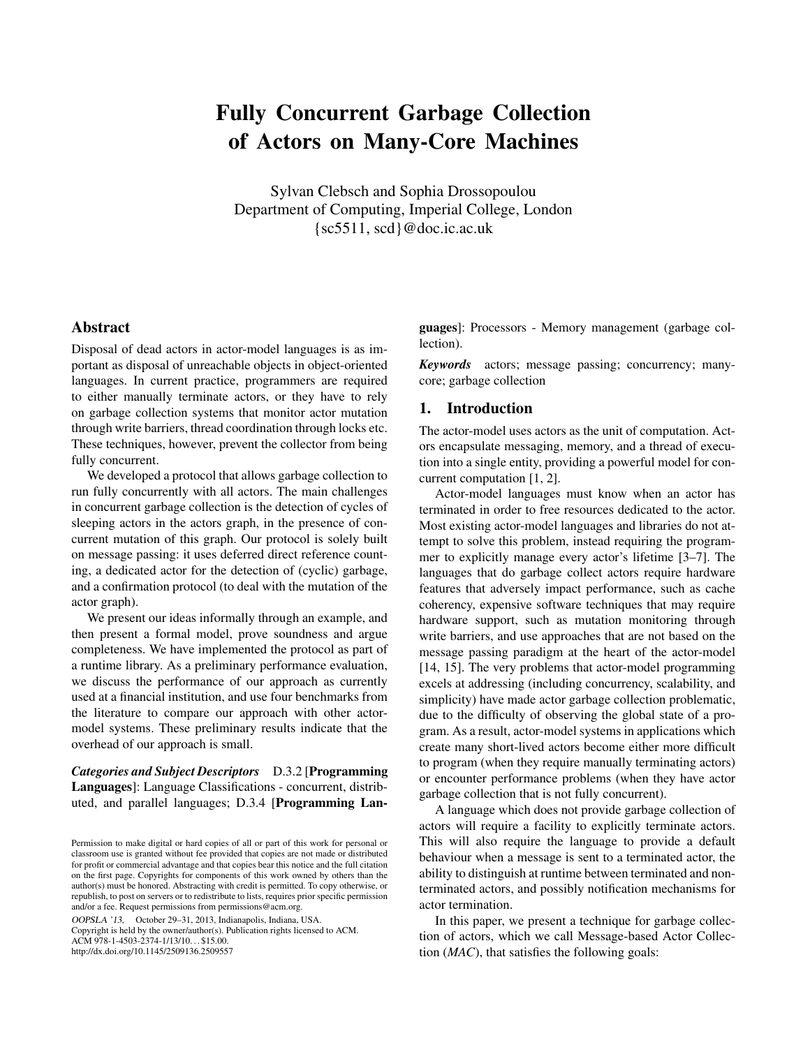# Fully Concurrent Garbage Collection of Actors on Many-Core Machines

Sylvan Clebsch and Sophia Drossopoulou Department of Computing, Imperial College, London {sc5511, scd}@doc.ic.ac.uk

#### Abstract

Disposal of dead actors in actor-model languages is as important as disposal of unreachable objects in object-oriented languages. In current practice, programmers are required to either manually terminate actors, or they have to rely on garbage collection systems that monitor actor mutation through write barriers, thread coordination through locks etc. These techniques, however, prevent the collector from being fully concurrent.

We developed a protocol that allows garbage collection to run fully concurrently with all actors. The main challenges in concurrent garbage collection is the detection of cycles of sleeping actors in the actors graph, in the presence of concurrent mutation of this graph. Our protocol is solely built on message passing: it uses deferred direct reference counting, a dedicated actor for the detection of (cyclic) garbage, and a confirmation protocol (to deal with the mutation of the actor graph).

We present our ideas informally through an example, and then present a formal model, prove soundness and argue completeness. We have implemented the protocol as part of a runtime library. As a preliminary performance evaluation, we discuss the performance of our approach as currently used at a financial institution, and use four benchmarks from the literature to compare our approach with other actormodel systems. These preliminary results indicate that the overhead of our approach is small.

*Categories and Subject Descriptors* D.3.2 [Programming Languages]: Language Classifications - concurrent, distributed, and parallel languages; D.3.4 [Programming Lan-

OOPSLA '13, October 29–31, 2013, Indianapolis, Indiana, USA.

Copyright is held by the owner/author(s). Publication rights licensed to ACM. ACM 978-1-4503-2374-1/13/10... \$15.00.

http://dx.doi.org/10.1145/2509136.2509557

guages]: Processors - Memory management (garbage collection).

*Keywords* actors; message passing; concurrency; manycore; garbage collection

#### 1. Introduction

The actor-model uses actors as the unit of computation. Actors encapsulate messaging, memory, and a thread of execution into a single entity, providing a powerful model for concurrent computation [1, 2].

Actor-model languages must know when an actor has terminated in order to free resources dedicated to the actor. Most existing actor-model languages and libraries do not attempt to solve this problem, instead requiring the programmer to explicitly manage every actor's lifetime [3–7]. The languages that do garbage collect actors require hardware features that adversely impact performance, such as cache coherency, expensive software techniques that may require hardware support, such as mutation monitoring through write barriers, and use approaches that are not based on the message passing paradigm at the heart of the actor-model [14, 15]. The very problems that actor-model programming excels at addressing (including concurrency, scalability, and simplicity) have made actor garbage collection problematic, due to the difficulty of observing the global state of a program. As a result, actor-model systems in applications which create many short-lived actors become either more difficult to program (when they require manually terminating actors) or encounter performance problems (when they have actor garbage collection that is not fully concurrent).

A language which does not provide garbage collection of actors will require a facility to explicitly terminate actors. This will also require the language to provide a default behaviour when a message is sent to a terminated actor, the ability to distinguish at runtime between terminated and nonterminated actors, and possibly notification mechanisms for actor termination.

In this paper, we present a technique for garbage collection of actors, which we call Message-based Actor Collection (*MAC*), that satisfies the following goals:

Permission to make digital or hard copies of all or part of this work for personal or classroom use is granted without fee provided that copies are not made or distributed for profit or commercial advantage and that copies bear this notice and the full citation on the first page. Copyrights for components of this work owned by others than the author(s) must be honored. Abstracting with credit is permitted. To copy otherwise, or republish, to post on servers or to redistribute to lists, requires prior specific permission and/or a fee. Request permissions from permissions@acm.org.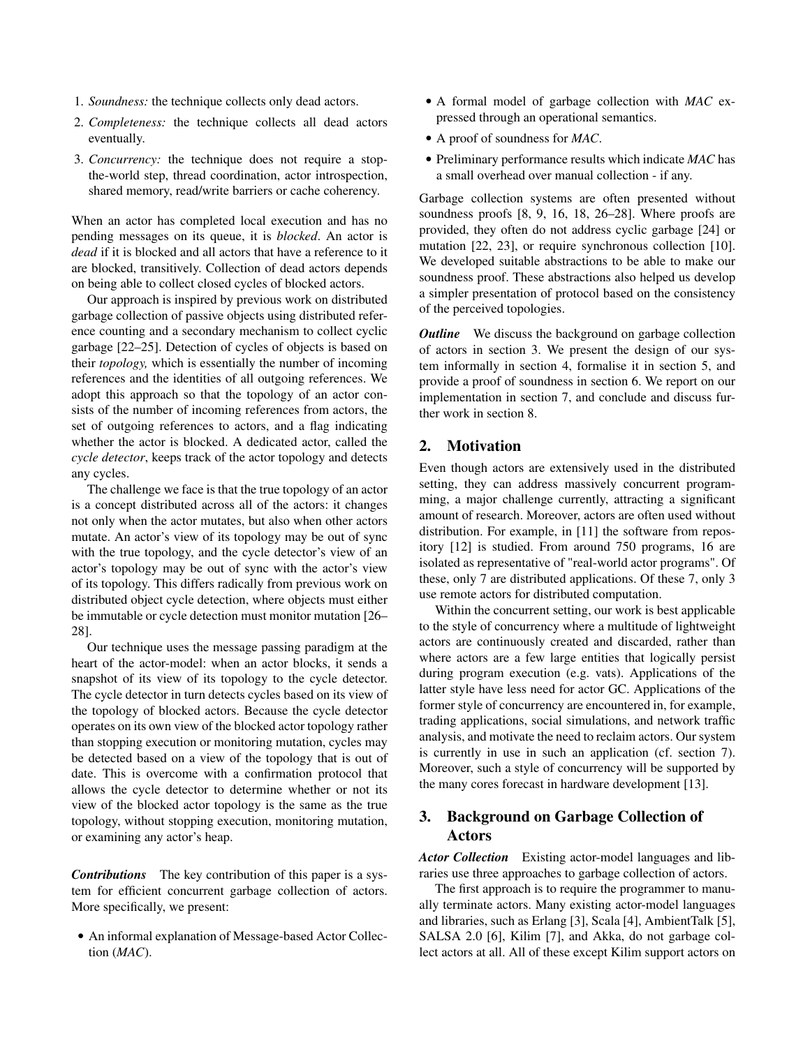- 1. *Soundness:* the technique collects only dead actors.
- 2. *Completeness:* the technique collects all dead actors eventually.
- 3. *Concurrency:* the technique does not require a stopthe-world step, thread coordination, actor introspection, shared memory, read/write barriers or cache coherency.

When an actor has completed local execution and has no pending messages on its queue, it is *blocked*. An actor is *dead* if it is blocked and all actors that have a reference to it are blocked, transitively. Collection of dead actors depends on being able to collect closed cycles of blocked actors.

Our approach is inspired by previous work on distributed garbage collection of passive objects using distributed reference counting and a secondary mechanism to collect cyclic garbage [22–25]. Detection of cycles of objects is based on their *topology,* which is essentially the number of incoming references and the identities of all outgoing references. We adopt this approach so that the topology of an actor consists of the number of incoming references from actors, the set of outgoing references to actors, and a flag indicating whether the actor is blocked. A dedicated actor, called the *cycle detector*, keeps track of the actor topology and detects any cycles.

The challenge we face is that the true topology of an actor is a concept distributed across all of the actors: it changes not only when the actor mutates, but also when other actors mutate. An actor's view of its topology may be out of sync with the true topology, and the cycle detector's view of an actor's topology may be out of sync with the actor's view of its topology. This differs radically from previous work on distributed object cycle detection, where objects must either be immutable or cycle detection must monitor mutation [26– 28].

Our technique uses the message passing paradigm at the heart of the actor-model: when an actor blocks, it sends a snapshot of its view of its topology to the cycle detector. The cycle detector in turn detects cycles based on its view of the topology of blocked actors. Because the cycle detector operates on its own view of the blocked actor topology rather than stopping execution or monitoring mutation, cycles may be detected based on a view of the topology that is out of date. This is overcome with a confirmation protocol that allows the cycle detector to determine whether or not its view of the blocked actor topology is the same as the true topology, without stopping execution, monitoring mutation, or examining any actor's heap.

*Contributions* The key contribution of this paper is a system for efficient concurrent garbage collection of actors. More specifically, we present:

• An informal explanation of Message-based Actor Collection (*MAC*).

- A formal model of garbage collection with *MAC* expressed through an operational semantics.
- A proof of soundness for *MAC*.
- Preliminary performance results which indicate *MAC* has a small overhead over manual collection - if any.

Garbage collection systems are often presented without soundness proofs [8, 9, 16, 18, 26–28]. Where proofs are provided, they often do not address cyclic garbage [24] or mutation [22, 23], or require synchronous collection [10]. We developed suitable abstractions to be able to make our soundness proof. These abstractions also helped us develop a simpler presentation of protocol based on the consistency of the perceived topologies.

*Outline* We discuss the background on garbage collection of actors in section 3. We present the design of our system informally in section 4, formalise it in section 5, and provide a proof of soundness in section 6. We report on our implementation in section 7, and conclude and discuss further work in section 8.

## 2. Motivation

Even though actors are extensively used in the distributed setting, they can address massively concurrent programming, a major challenge currently, attracting a significant amount of research. Moreover, actors are often used without distribution. For example, in [11] the software from repository [12] is studied. From around 750 programs, 16 are isolated as representative of "real-world actor programs". Of these, only 7 are distributed applications. Of these 7, only 3 use remote actors for distributed computation.

Within the concurrent setting, our work is best applicable to the style of concurrency where a multitude of lightweight actors are continuously created and discarded, rather than where actors are a few large entities that logically persist during program execution (e.g. vats). Applications of the latter style have less need for actor GC. Applications of the former style of concurrency are encountered in, for example, trading applications, social simulations, and network traffic analysis, and motivate the need to reclaim actors. Our system is currently in use in such an application (cf. section 7). Moreover, such a style of concurrency will be supported by the many cores forecast in hardware development [13].

## 3. Background on Garbage Collection of Actors

*Actor Collection* Existing actor-model languages and libraries use three approaches to garbage collection of actors.

The first approach is to require the programmer to manually terminate actors. Many existing actor-model languages and libraries, such as Erlang [3], Scala [4], AmbientTalk [5], SALSA 2.0 [6], Kilim [7], and Akka, do not garbage collect actors at all. All of these except Kilim support actors on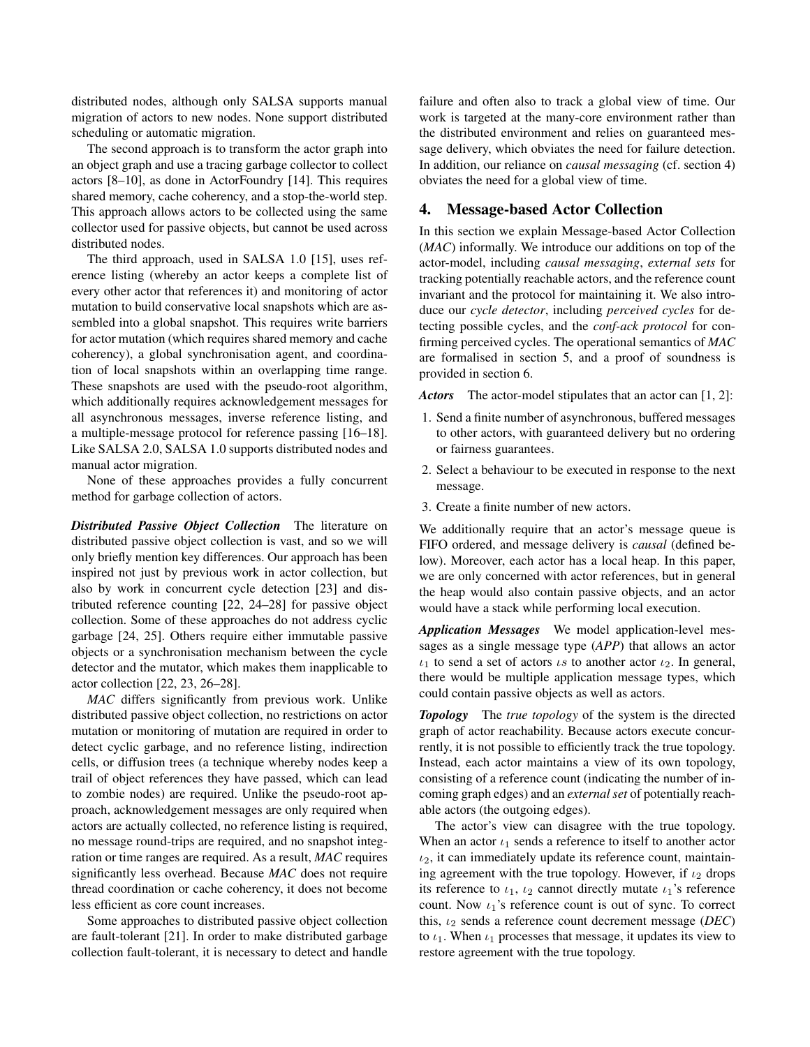distributed nodes, although only SALSA supports manual migration of actors to new nodes. None support distributed scheduling or automatic migration.

The second approach is to transform the actor graph into an object graph and use a tracing garbage collector to collect actors [8–10], as done in ActorFoundry [14]. This requires shared memory, cache coherency, and a stop-the-world step. This approach allows actors to be collected using the same collector used for passive objects, but cannot be used across distributed nodes.

The third approach, used in SALSA 1.0 [15], uses reference listing (whereby an actor keeps a complete list of every other actor that references it) and monitoring of actor mutation to build conservative local snapshots which are assembled into a global snapshot. This requires write barriers for actor mutation (which requires shared memory and cache coherency), a global synchronisation agent, and coordination of local snapshots within an overlapping time range. These snapshots are used with the pseudo-root algorithm, which additionally requires acknowledgement messages for all asynchronous messages, inverse reference listing, and a multiple-message protocol for reference passing [16–18]. Like SALSA 2.0, SALSA 1.0 supports distributed nodes and manual actor migration.

None of these approaches provides a fully concurrent method for garbage collection of actors.

*Distributed Passive Object Collection* The literature on distributed passive object collection is vast, and so we will only briefly mention key differences. Our approach has been inspired not just by previous work in actor collection, but also by work in concurrent cycle detection [23] and distributed reference counting [22, 24–28] for passive object collection. Some of these approaches do not address cyclic garbage [24, 25]. Others require either immutable passive objects or a synchronisation mechanism between the cycle detector and the mutator, which makes them inapplicable to actor collection [22, 23, 26–28].

*MAC* differs significantly from previous work. Unlike distributed passive object collection, no restrictions on actor mutation or monitoring of mutation are required in order to detect cyclic garbage, and no reference listing, indirection cells, or diffusion trees (a technique whereby nodes keep a trail of object references they have passed, which can lead to zombie nodes) are required. Unlike the pseudo-root approach, acknowledgement messages are only required when actors are actually collected, no reference listing is required, no message round-trips are required, and no snapshot integration or time ranges are required. As a result, *MAC* requires significantly less overhead. Because *MAC* does not require thread coordination or cache coherency, it does not become less efficient as core count increases.

Some approaches to distributed passive object collection are fault-tolerant [21]. In order to make distributed garbage collection fault-tolerant, it is necessary to detect and handle

failure and often also to track a global view of time. Our work is targeted at the many-core environment rather than the distributed environment and relies on guaranteed message delivery, which obviates the need for failure detection. In addition, our reliance on *causal messaging* (cf. section 4) obviates the need for a global view of time.

#### 4. Message-based Actor Collection

In this section we explain Message-based Actor Collection (*MAC*) informally. We introduce our additions on top of the actor-model, including *causal messaging*, *external sets* for tracking potentially reachable actors, and the reference count invariant and the protocol for maintaining it. We also introduce our *cycle detector*, including *perceived cycles* for detecting possible cycles, and the *conf-ack protocol* for confirming perceived cycles. The operational semantics of *MAC* are formalised in section 5, and a proof of soundness is provided in section 6.

*Actors* The actor-model stipulates that an actor can [1, 2]:

- 1. Send a finite number of asynchronous, buffered messages to other actors, with guaranteed delivery but no ordering or fairness guarantees.
- 2. Select a behaviour to be executed in response to the next message.
- 3. Create a finite number of new actors.

We additionally require that an actor's message queue is FIFO ordered, and message delivery is *causal* (defined below). Moreover, each actor has a local heap. In this paper, we are only concerned with actor references, but in general the heap would also contain passive objects, and an actor would have a stack while performing local execution.

*Application Messages* We model application-level messages as a single message type (*APP*) that allows an actor  $\iota_1$  to send a set of actors  $\iota$ s to another actor  $\iota_2$ . In general, there would be multiple application message types, which could contain passive objects as well as actors.

*Topology* The *true topology* of the system is the directed graph of actor reachability. Because actors execute concurrently, it is not possible to efficiently track the true topology. Instead, each actor maintains a view of its own topology, consisting of a reference count (indicating the number of incoming graph edges) and an *external set* of potentially reachable actors (the outgoing edges).

The actor's view can disagree with the true topology. When an actor  $\iota_1$  sends a reference to itself to another actor  $\iota_2$ , it can immediately update its reference count, maintaining agreement with the true topology. However, if  $\iota_2$  drops its reference to  $\iota_1$ ,  $\iota_2$  cannot directly mutate  $\iota_1$ 's reference count. Now  $\iota_1$ 's reference count is out of sync. To correct this, ι<sup>2</sup> sends a reference count decrement message (*DEC*) to  $\iota_1$ . When  $\iota_1$  processes that message, it updates its view to restore agreement with the true topology.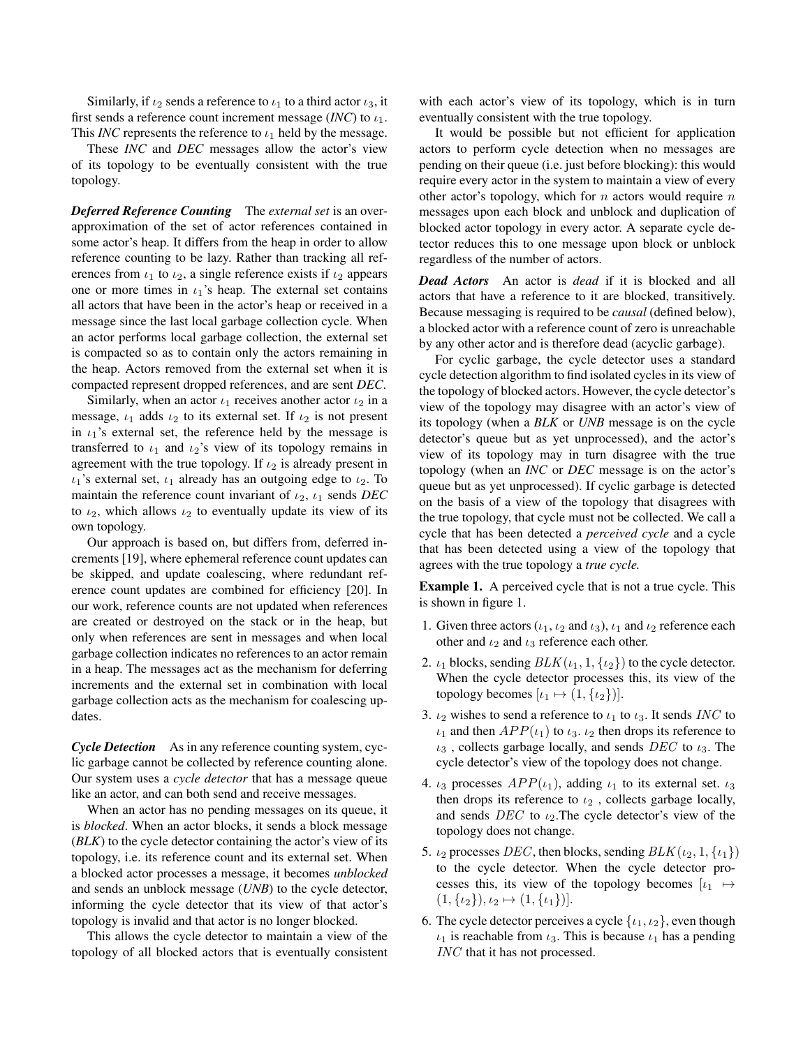Similarly, if  $\iota_2$  sends a reference to  $\iota_1$  to a third actor  $\iota_3$ , it first sends a reference count increment message  $(INC)$  to  $\iota_1$ . This *INC* represents the reference to  $\iota_1$  held by the message.

These *INC* and *DEC* messages allow the actor's view of its topology to be eventually consistent with the true topology.

*Deferred Reference Counting* The *external set* is an overapproximation of the set of actor references contained in some actor's heap. It differs from the heap in order to allow reference counting to be lazy. Rather than tracking all references from  $\iota_1$  to  $\iota_2$ , a single reference exists if  $\iota_2$  appears one or more times in  $\iota_1$ 's heap. The external set contains all actors that have been in the actor's heap or received in a message since the last local garbage collection cycle. When an actor performs local garbage collection, the external set is compacted so as to contain only the actors remaining in the heap. Actors removed from the external set when it is compacted represent dropped references, and are sent *DEC*.

Similarly, when an actor  $\iota_1$  receives another actor  $\iota_2$  in a message,  $\iota_1$  adds  $\iota_2$  to its external set. If  $\iota_2$  is not present in  $\iota_1$ 's external set, the reference held by the message is transferred to  $\iota_1$  and  $\iota_2$ 's view of its topology remains in agreement with the true topology. If  $\iota_2$  is already present in  $\iota_1$ 's external set,  $\iota_1$  already has an outgoing edge to  $\iota_2$ . To maintain the reference count invariant of  $\iota_2$ ,  $\iota_1$  sends *DEC* to  $\iota_2$ , which allows  $\iota_2$  to eventually update its view of its own topology.

Our approach is based on, but differs from, deferred increments [19], where ephemeral reference count updates can be skipped, and update coalescing, where redundant reference count updates are combined for efficiency [20]. In our work, reference counts are not updated when references are created or destroyed on the stack or in the heap, but only when references are sent in messages and when local garbage collection indicates no references to an actor remain in a heap. The messages act as the mechanism for deferring increments and the external set in combination with local garbage collection acts as the mechanism for coalescing updates.

*Cycle Detection* As in any reference counting system, cyclic garbage cannot be collected by reference counting alone. Our system uses a *cycle detector* that has a message queue like an actor, and can both send and receive messages.

When an actor has no pending messages on its queue, it is *blocked*. When an actor blocks, it sends a block message (*BLK*) to the cycle detector containing the actor's view of its topology, i.e. its reference count and its external set. When a blocked actor processes a message, it becomes *unblocked* and sends an unblock message (*UNB*) to the cycle detector, informing the cycle detector that its view of that actor's topology is invalid and that actor is no longer blocked.

This allows the cycle detector to maintain a view of the topology of all blocked actors that is eventually consistent

with each actor's view of its topology, which is in turn eventually consistent with the true topology.

It would be possible but not efficient for application actors to perform cycle detection when no messages are pending on their queue (i.e. just before blocking): this would require every actor in the system to maintain a view of every other actor's topology, which for  $n$  actors would require  $n$ messages upon each block and unblock and duplication of blocked actor topology in every actor. A separate cycle detector reduces this to one message upon block or unblock regardless of the number of actors.

*Dead Actors* An actor is *dead* if it is blocked and all actors that have a reference to it are blocked, transitively. Because messaging is required to be *causal* (defined below), a blocked actor with a reference count of zero is unreachable by any other actor and is therefore dead (acyclic garbage).

For cyclic garbage, the cycle detector uses a standard cycle detection algorithm to find isolated cycles in its view of the topology of blocked actors. However, the cycle detector's view of the topology may disagree with an actor's view of its topology (when a *BLK* or *UNB* message is on the cycle detector's queue but as yet unprocessed), and the actor's view of its topology may in turn disagree with the true topology (when an *INC* or *DEC* message is on the actor's queue but as yet unprocessed). If cyclic garbage is detected on the basis of a view of the topology that disagrees with the true topology, that cycle must not be collected. We call a cycle that has been detected a *perceived cycle* and a cycle that has been detected using a view of the topology that agrees with the true topology a *true cycle.*

Example 1. A perceived cycle that is not a true cycle. This is shown in figure 1.

- 1. Given three actors ( $\iota_1$ ,  $\iota_2$  and  $\iota_3$ ),  $\iota_1$  and  $\iota_2$  reference each other and  $\iota_2$  and  $\iota_3$  reference each other.
- 2.  $\iota_1$  blocks, sending  $BLK(\iota_1, 1, \{\iota_2\})$  to the cycle detector. When the cycle detector processes this, its view of the topology becomes  $[\iota_1 \mapsto (1, {\{\iota_2\}})]$ .
- 3.  $\iota_2$  wishes to send a reference to  $\iota_1$  to  $\iota_3$ . It sends *INC* to  $\iota_1$  and then  $APP(\iota_1)$  to  $\iota_3$ .  $\iota_2$  then drops its reference to  $\iota_3$ , collects garbage locally, and sends DEC to  $\iota_3$ . The cycle detector's view of the topology does not change.
- 4.  $\iota_3$  processes  $APP(\iota_1)$ , adding  $\iota_1$  to its external set.  $\iota_3$ then drops its reference to  $\iota_2$ , collects garbage locally, and sends  $DEC$  to  $\iota_2$ . The cycle detector's view of the topology does not change.
- 5.  $\iota_2$  processes DEC, then blocks, sending  $BLK(\iota_2, 1, {\iota_1})$ to the cycle detector. When the cycle detector processes this, its view of the topology becomes  $[\iota_1 \mapsto$  $(1, \{\iota_2\}), \iota_2 \mapsto (1, \{\iota_1\})$ .
- 6. The cycle detector perceives a cycle  $\{t_1, t_2\}$ , even though  $\iota_1$  is reachable from  $\iota_3$ . This is because  $\iota_1$  has a pending INC that it has not processed.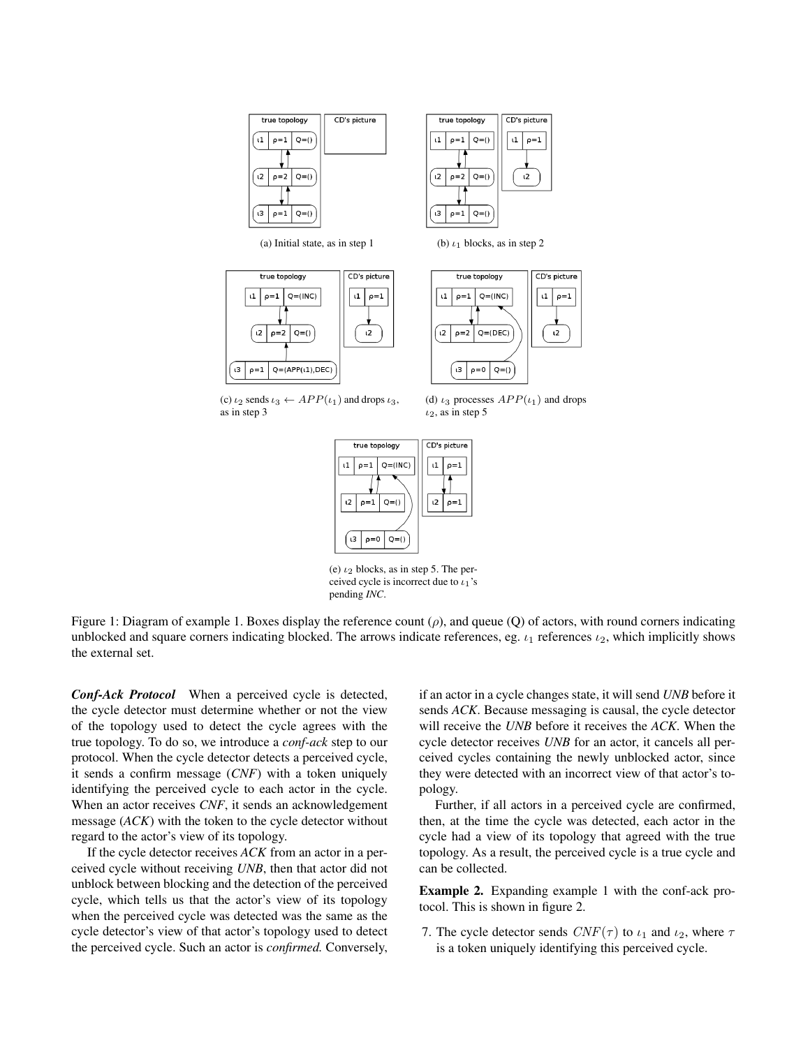

(a) Initial state, as in step 1 (b)  $\iota_1$  blocks, as in step 2







(c)  $\iota_2$  sends  $\iota_3 \leftarrow APP(\iota_1)$  and drops  $\iota_3$ , as in step 3





(e)  $\iota_2$  blocks, as in step 5. The perceived cycle is incorrect due to  $\iota_1$ 's pending *INC*.

Figure 1: Diagram of example 1. Boxes display the reference count  $(\rho)$ , and queue  $(Q)$  of actors, with round corners indicating unblocked and square corners indicating blocked. The arrows indicate references, eg.  $\iota_1$  references  $\iota_2$ , which implicitly shows the external set.

*Conf-Ack Protocol* When a perceived cycle is detected, the cycle detector must determine whether or not the view of the topology used to detect the cycle agrees with the true topology. To do so, we introduce a *conf-ack* step to our protocol. When the cycle detector detects a perceived cycle, it sends a confirm message (*CNF*) with a token uniquely identifying the perceived cycle to each actor in the cycle. When an actor receives *CNF*, it sends an acknowledgement message (*ACK*) with the token to the cycle detector without regard to the actor's view of its topology.

If the cycle detector receives *ACK* from an actor in a perceived cycle without receiving *UNB*, then that actor did not unblock between blocking and the detection of the perceived cycle, which tells us that the actor's view of its topology when the perceived cycle was detected was the same as the cycle detector's view of that actor's topology used to detect the perceived cycle. Such an actor is *confirmed.* Conversely,

if an actor in a cycle changes state, it will send *UNB* before it sends *ACK*. Because messaging is causal, the cycle detector will receive the *UNB* before it receives the *ACK*. When the cycle detector receives *UNB* for an actor, it cancels all perceived cycles containing the newly unblocked actor, since they were detected with an incorrect view of that actor's topology.

Further, if all actors in a perceived cycle are confirmed, then, at the time the cycle was detected, each actor in the cycle had a view of its topology that agreed with the true topology. As a result, the perceived cycle is a true cycle and can be collected.

Example 2. Expanding example 1 with the conf-ack protocol. This is shown in figure 2.

7. The cycle detector sends  $CNF(\tau)$  to  $\iota_1$  and  $\iota_2$ , where  $\tau$ is a token uniquely identifying this perceived cycle.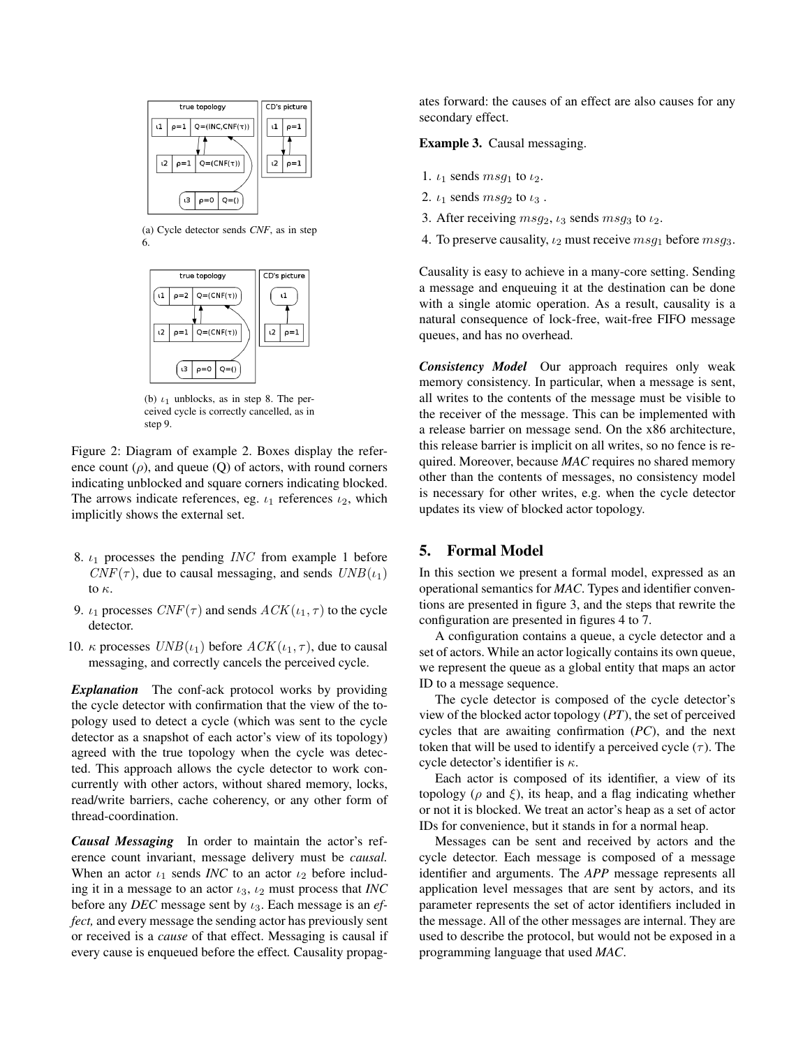

(a) Cycle detector sends *CNF*, as in step 6.



(b)  $\iota_1$  unblocks, as in step 8. The perceived cycle is correctly cancelled, as in step 9.

Figure 2: Diagram of example 2. Boxes display the reference count  $(\rho)$ , and queue  $(Q)$  of actors, with round corners indicating unblocked and square corners indicating blocked. The arrows indicate references, eg.  $\iota_1$  references  $\iota_2$ , which implicitly shows the external set.

- 8.  $\iota_1$  processes the pending *INC* from example 1 before  $CNF(\tau)$ , due to causal messaging, and sends  $UNB(\iota_1)$ to κ.
- 9.  $\iota_1$  processes  $CNF(\tau)$  and sends  $ACK(\iota_1, \tau)$  to the cycle detector.
- 10.  $\kappa$  processes  $UNB(\iota_1)$  before  $ACK(\iota_1, \tau)$ , due to causal messaging, and correctly cancels the perceived cycle.

*Explanation* The conf-ack protocol works by providing the cycle detector with confirmation that the view of the topology used to detect a cycle (which was sent to the cycle detector as a snapshot of each actor's view of its topology) agreed with the true topology when the cycle was detected. This approach allows the cycle detector to work concurrently with other actors, without shared memory, locks, read/write barriers, cache coherency, or any other form of thread-coordination.

*Causal Messaging* In order to maintain the actor's reference count invariant, message delivery must be *causal.* When an actor  $\iota_1$  sends *INC* to an actor  $\iota_2$  before including it in a message to an actor  $\iota_3$ ,  $\iota_2$  must process that *INC* before any *DEC* message sent by ι3. Each message is an *effect,* and every message the sending actor has previously sent or received is a *cause* of that effect. Messaging is causal if every cause is enqueued before the effect*.* Causality propag-

ates forward: the causes of an effect are also causes for any secondary effect.

Example 3. Causal messaging.

- 1.  $\iota_1$  sends  $msg_1$  to  $\iota_2$ .
- 2.  $\iota_1$  sends  $msg_2$  to  $\iota_3$ .
- 3. After receiving  $msg_2$ ,  $\iota_3$  sends  $msg_3$  to  $\iota_2$ .
- 4. To preserve causality,  $\iota_2$  must receive  $msg_1$  before  $msg_3$ .

Causality is easy to achieve in a many-core setting. Sending a message and enqueuing it at the destination can be done with a single atomic operation. As a result, causality is a natural consequence of lock-free, wait-free FIFO message queues, and has no overhead.

*Consistency Model* Our approach requires only weak memory consistency. In particular, when a message is sent, all writes to the contents of the message must be visible to the receiver of the message. This can be implemented with a release barrier on message send. On the x86 architecture, this release barrier is implicit on all writes, so no fence is required. Moreover, because *MAC* requires no shared memory other than the contents of messages, no consistency model is necessary for other writes, e.g. when the cycle detector updates its view of blocked actor topology.

### 5. Formal Model

In this section we present a formal model, expressed as an operational semantics for *MAC*. Types and identifier conventions are presented in figure 3, and the steps that rewrite the configuration are presented in figures 4 to 7.

A configuration contains a queue, a cycle detector and a set of actors. While an actor logically contains its own queue, we represent the queue as a global entity that maps an actor ID to a message sequence.

The cycle detector is composed of the cycle detector's view of the blocked actor topology (*PT*), the set of perceived cycles that are awaiting confirmation (*PC*), and the next token that will be used to identify a perceived cycle  $(\tau)$ . The cycle detector's identifier is  $\kappa$ .

Each actor is composed of its identifier, a view of its topology ( $\rho$  and  $\xi$ ), its heap, and a flag indicating whether or not it is blocked. We treat an actor's heap as a set of actor IDs for convenience, but it stands in for a normal heap.

Messages can be sent and received by actors and the cycle detector. Each message is composed of a message identifier and arguments. The *APP* message represents all application level messages that are sent by actors, and its parameter represents the set of actor identifiers included in the message. All of the other messages are internal. They are used to describe the protocol, but would not be exposed in a programming language that used *MAC*.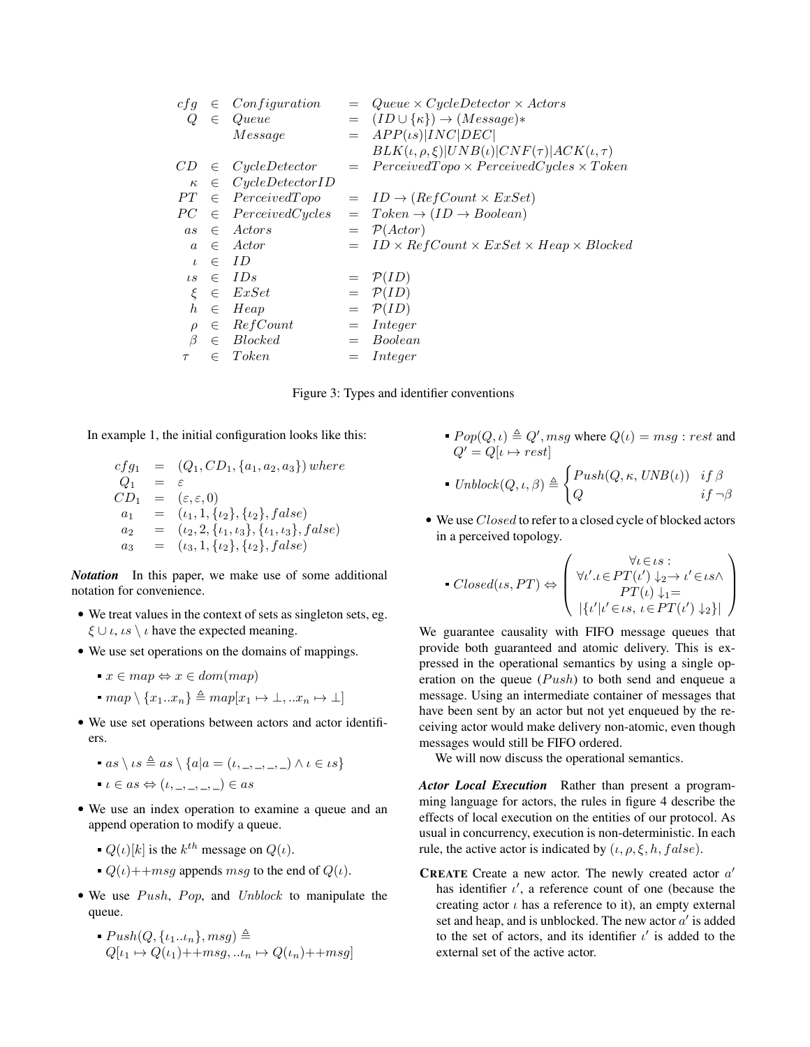| cfq              |       | $\in$ <i>Configuration</i>    |     | $=$ Queue $\times$ CycleDetector $\times$ Actors                    |
|------------------|-------|-------------------------------|-----|---------------------------------------------------------------------|
| Q                |       | $\in$ Queue                   |     | $= (ID \cup \{\kappa\}) \rightarrow (Message)*$                     |
|                  |       | Message                       | $=$ | $APP(\iota s) INC DEC $                                             |
|                  |       |                               |     | $BLK(\iota, \rho, \xi)   UNB(\iota)   CNF(\tau)   ACK(\iota, \tau)$ |
|                  |       | $CD \in CycleDetector$        |     | $=$ PerceivedTopo $\times$ PerceivedCycles $\times$ Token           |
|                  |       | $\kappa \in CycleDetectorID$  |     |                                                                     |
|                  |       | $PT \in \text{PerceivedTopo}$ |     | $= ID \rightarrow (RefCount \times ExSet)$                          |
| PC               |       | $\in$ PerceivedCycles         | $=$ | $Token \rightarrow (ID \rightarrow Boolean)$                        |
| as               |       | $\epsilon$ Actors             | $=$ | $\mathcal{P}(Actor)$                                                |
|                  |       | $a \in Actor$                 | $=$ | $ID \times RefCount \times ExSet \times Heap \times Block$          |
| $\mathbf{I}$     | $\in$ | - ID                          |     |                                                                     |
| $\iota s$        |       | $\in$ IDs                     |     | $=$ $P(ID)$                                                         |
| ξ                |       | $\in$ ExSet                   | $=$ | $\mathcal{P}(ID)$                                                   |
| $\boldsymbol{h}$ |       | $\in$ Heap                    |     | $\mathcal{P}(ID)$                                                   |
| $\rho$           |       | $\in$ RefCount                | $=$ | Integer                                                             |
| β                |       | $\in Blocked$                 |     | Boolean                                                             |
| $\tau$           | $\in$ | Token                         |     | Integer                                                             |
|                  |       |                               |     |                                                                     |

#### Figure 3: Types and identifier conventions

In example 1, the initial configuration looks like this:

$$
cfg_1 = (Q_1, CD_1, \{a_1, a_2, a_3\}) where\nQ_1 = \varepsilon\nCD_1 = (\varepsilon, \varepsilon, 0)\na_1 = (t_1, 1, \{t_2\}, \{t_2\}, false)\na_2 = (t_2, 2, \{t_1, t_3\}, \{t_1, t_3\}, false)\na_3 = (t_3, 1, \{t_2\}, \{t_2\}, false)
$$

*Notation* In this paper, we make use of some additional notation for convenience.

- We treat values in the context of sets as singleton sets, eg.  $\xi \cup \iota$ ,  $\iota s \setminus \iota$  have the expected meaning.
- We use set operations on the domains of mappings.
	- $\blacksquare$  *x* ∈ *map*  $\Leftrightarrow$  *x* ∈ *dom*(*map*)

$$
\blacksquare map \setminus \{x_1..x_n\} \triangleq map[x_1 \mapsto \bot,..x_n \mapsto \bot]
$$

- We use set operations between actors and actor identifiers.
	- $a s \setminus \iota s \stackrel{\Delta}{=} as \setminus \{a|a = (\iota, \_, \_, \_, \_}) \wedge \iota \in \iota s\}$
	- $\bullet$   $\iota \in as \Leftrightarrow (\iota, \_, \_, \_, \_) \in as$
- We use an index operation to examine a queue and an append operation to modify a queue.
	- $Q(\iota)[k]$  is the  $k^{th}$  message on  $Q(\iota)$ .
	- $Q(t)$ ++msg appends msg to the end of  $Q(t)$ .
- We use  $Push, Pop, and Unblock$  to manipulate the queue.
	- $\blacksquare$   $Push(Q, \{\iota_1..\iota_n\}, msg) \triangleq$  $Q[\iota_1 \mapsto Q(\iota_1)++msg,\ldots,\mapsto Q(\iota_n)++msg]$
- $Pop(Q, \iota) \triangleq Q', msg$  where  $Q(\iota) = msg : rest$  and  $Q' = Q[\iota \mapsto rest]$ 
	- $Unblock(Q, \iota, \beta) \triangleq \begin{cases} Push(Q, \kappa, UNB(\iota)) & \text{if } \beta \\ 0 & \text{if } \beta \end{cases}$ Q if  $\neg \beta$
- We use *Closed* to refer to a closed cycle of blocked actors in a perceived topology.

$$
\bullet \ Closed(\iota s, PT) \Leftrightarrow \begin{pmatrix} \forall \iota \in \iota s : \\ \forall \iota'. \iota \in PT(\iota') \downarrow_2 \rightarrow \iota' \in \iota s \wedge \\ PT(\iota) \downarrow_1 = \\ |\{\iota' | \iota' \in \iota s, \ \iota \in PT(\iota') \downarrow_2\}| \end{pmatrix}
$$

We guarantee causality with FIFO message queues that provide both guaranteed and atomic delivery. This is expressed in the operational semantics by using a single operation on the queue  $(Push)$  to both send and enqueue a message. Using an intermediate container of messages that have been sent by an actor but not yet enqueued by the receiving actor would make delivery non-atomic, even though messages would still be FIFO ordered.

We will now discuss the operational semantics.

*Actor Local Execution* Rather than present a programming language for actors, the rules in figure 4 describe the effects of local execution on the entities of our protocol. As usual in concurrency, execution is non-deterministic. In each rule, the active actor is indicated by  $(\iota, \rho, \xi, h, false)$ .

**CREATE** Create a new actor. The newly created actor  $a'$ has identifier  $\iota'$ , a reference count of one (because the creating actor  $\iota$  has a reference to it), an empty external set and heap, and is unblocked. The new actor  $a'$  is added to the set of actors, and its identifier  $\iota'$  is added to the external set of the active actor.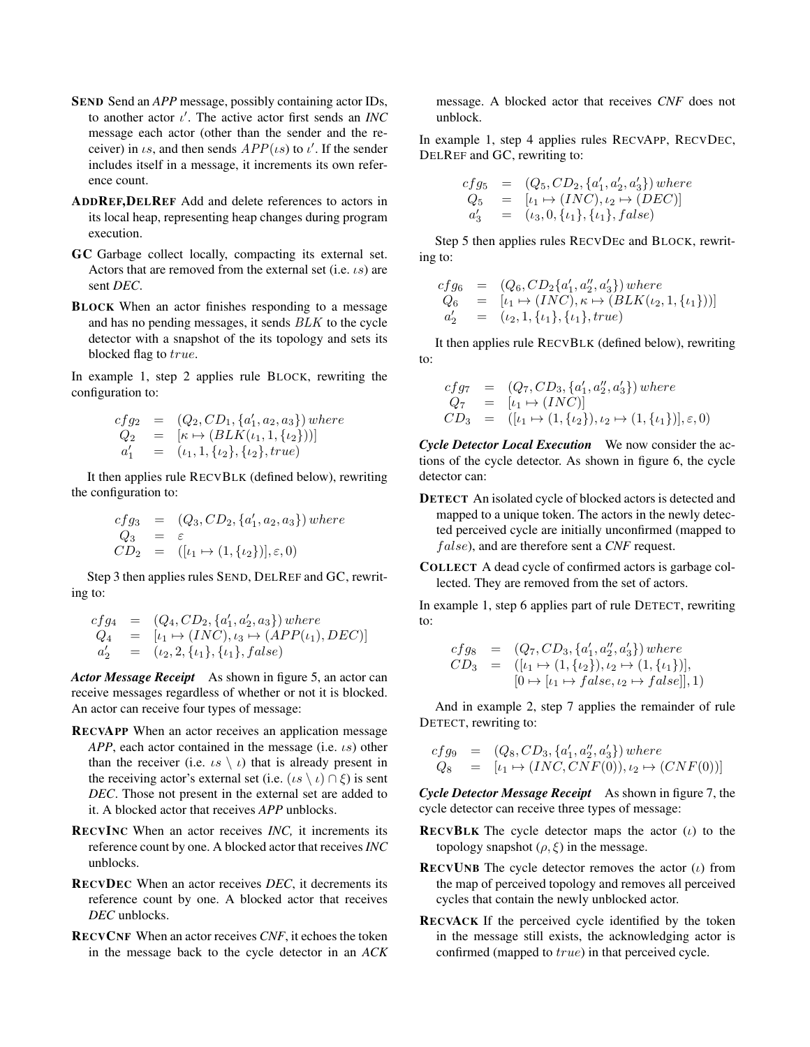- SEND Send an *APP* message, possibly containing actor IDs, to another actor ι 0 . The active actor first sends an *INC* message each actor (other than the sender and the receiver) in is, and then sends  $APP(\iota s)$  to  $\iota'$ . If the sender includes itself in a message, it increments its own reference count.
- ADDREF,DELREF Add and delete references to actors in its local heap, representing heap changes during program execution.
- GC Garbage collect locally, compacting its external set. Actors that are removed from the external set (i.e.  $\iota s$ ) are sent *DEC*.
- BLOCK When an actor finishes responding to a message and has no pending messages, it sends BLK to the cycle detector with a snapshot of the its topology and sets its blocked flag to true.

In example 1, step 2 applies rule BLOCK, rewriting the configuration to:

$$
cfg_2 = (Q_2, CD_1, \{a'_1, a_2, a_3\}) where\nQ_2 = [\kappa \mapsto (BLK(\iota_1, 1, \{\iota_2\}))]\n a'_1 = (\iota_1, 1, \{\iota_2\}, \{\iota_2\}, true)
$$

It then applies rule RECVBLK (defined below), rewriting the configuration to:

$$
cfg_3 = (Q_3, CD_2, \{a'_1, a_2, a_3\}) where\nQ_3 = \varepsilon\nCD_2 = ([\iota_1 \mapsto (1, \{\iota_2\})], \varepsilon, 0)
$$

Step 3 then applies rules SEND, DELREF and GC, rewriting to:

$$
cfg_4 = (Q_4, CD_2, \{a'_1, a'_2, a_3\}) where\nQ_4 = [ \iota_1 \mapsto (INC), \iota_3 \mapsto (APP(\iota_1), DEC)]\n\alpha'_2 = (\iota_2, 2, \{\iota_1\}, \{\iota_1\}, false)
$$

*Actor Message Receipt* As shown in figure 5, an actor can receive messages regardless of whether or not it is blocked. An actor can receive four types of message:

- RECVAPP When an actor receives an application message *APP*, each actor contained in the message (i.e. ιs) other than the receiver (i.e.  $\iota s \setminus \iota$ ) that is already present in the receiving actor's external set (i.e.  $(\iota s \setminus \iota) \cap \xi$ ) is sent *DEC*. Those not present in the external set are added to it. A blocked actor that receives *APP* unblocks.
- RECVINC When an actor receives *INC,* it increments its reference count by one. A blocked actor that receives *INC* unblocks.
- RECVDEC When an actor receives *DEC*, it decrements its reference count by one. A blocked actor that receives *DEC* unblocks.
- RECVCNF When an actor receives *CNF*, it echoes the token in the message back to the cycle detector in an *ACK*

message. A blocked actor that receives *CNF* does not unblock.

In example 1, step 4 applies rules RECVAPP, RECVDEC, DELREF and GC, rewriting to:

$$
cfg_5 = (Q_5, CD_2, \{a'_1, a'_2, a'_3\}) where\nQ_5 = [t_1 \rightarrow (INC), t_2 \rightarrow (DEC)]\n a'_3 = (t_3, 0, \{t_1\}, \{t_1\}, false)
$$

Step 5 then applies rules RECVDEc and BLOCK, rewriting to:

$$
cfg_6 = (Q_6, CD_2\{a'_1, a''_2, a'_3\}) where\nQ_6 = [\iota_1 \mapsto (INC), \kappa \mapsto (BLK(\iota_2, 1, {\iota_1\}))]\n\alpha'_2 = (\iota_2, 1, {\iota_1}, {\iota_1}, true)
$$

It then applies rule RECVBLK (defined below), rewriting to:

$$
cfg_7 = (Q_7, CD_3, \{a'_1, a''_2, a'_3\}) where\nQ_7 = [\iota_1 \mapsto (INC)]\nCD_3 = ([\iota_1 \mapsto (1, \{\iota_2\}), \iota_2 \mapsto (1, \{\iota_1\})], \varepsilon, 0)
$$

*Cycle Detector Local Execution* We now consider the actions of the cycle detector. As shown in figure 6, the cycle detector can:

- DETECT An isolated cycle of blocked actors is detected and mapped to a unique token. The actors in the newly detected perceived cycle are initially unconfirmed (mapped to f alse), and are therefore sent a *CNF* request.
- COLLECT A dead cycle of confirmed actors is garbage collected. They are removed from the set of actors.

In example 1, step 6 applies part of rule DETECT, rewriting to:

$$
cfg_8 = (Q_7, CD_3, \{a'_1, a''_2, a'_3\}) whereCD_3 = ([\iota_1 \mapsto (1, \{\iota_2\}), \iota_2 \mapsto (1, \{\iota_1\})],[0 \mapsto [\iota_1 \mapsto false, \iota_2 \mapsto false]],1)
$$

And in example 2, step 7 applies the remainder of rule DETECT, rewriting to:

$$
cfg_9 = (Q_8, CD_3, \{a'_1, a''_2, a'_3\}) whereQ_8 = [t_1 \mapsto (INC, CNF(0)), t_2 \mapsto (CNF(0))]
$$

*Cycle Detector Message Receipt* As shown in figure 7, the cycle detector can receive three types of message:

- RECVBLK The cycle detector maps the actor  $(\iota)$  to the topology snapshot  $(\rho, \xi)$  in the message.
- **RECVUNB** The cycle detector removes the actor  $(\iota)$  from the map of perceived topology and removes all perceived cycles that contain the newly unblocked actor.
- RECVACK If the perceived cycle identified by the token in the message still exists, the acknowledging actor is confirmed (mapped to  $true$ ) in that perceived cycle.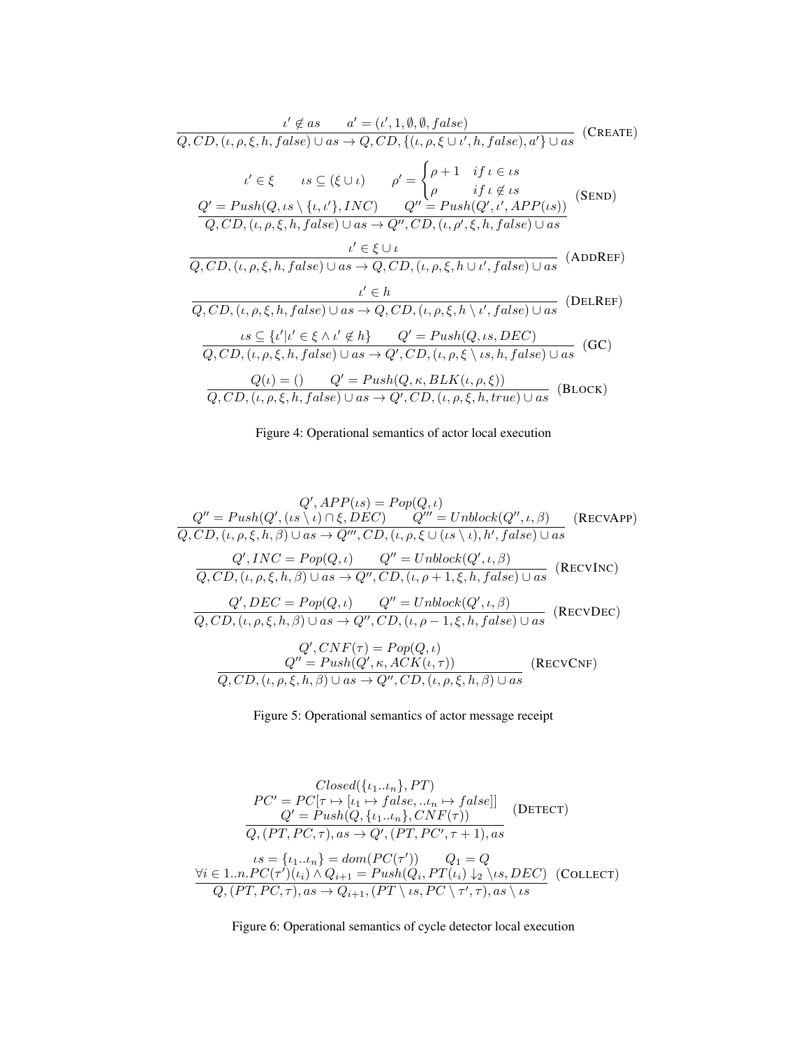$$
v' \notin as \t a' = (v', 1, \emptyset, \emptyset, false)
$$
  
\n
$$
Q, CD, (u, \rho, \xi, h, false) \cup as \rightarrow Q, CD, \{(u, \rho, \xi \cup v', h, false), a'\} \cup as \t (CREATE)
$$
  
\n
$$
v' \in \xi \t as \subseteq (\xi \cup \iota) \t \rho' = \begin{cases} \rho + 1 & \text{if } t \in \iota s \\ \rho & \text{if } t \notin \iota s \end{cases} \t (SEMD)
$$
  
\n
$$
Q' = \text{Push}(Q, \iota s \setminus \{\iota, \iota'\}, INC) \t Q'' = \text{Push}(Q', \iota', APP(\iota s)) \t (SEMD)
$$
  
\n
$$
Q, CD, (u, \rho, \xi, h, false) \cup as \rightarrow Q'', CD, (u, \rho', \xi, h, false) \cup as \t \ell' \in \xi \cup \iota \t (ADREF)
$$
  
\n
$$
v' \in h
$$
  
\n
$$
Q, CD, (u, \rho, \xi, h, false) \cup as \rightarrow Q, CD, (u, \rho, \xi, h \setminus \iota', false) \cup as \t (DELREF)
$$
  
\n
$$
L \in \mathbb{R}
$$
  
\n
$$
Q, CD, (u, \rho, \xi, h, false) \cup as \rightarrow Q, CD, (u, \rho, \xi, h \setminus \iota', false) \cup as \t (DELREF)
$$
  
\n
$$
Q, CD, (u, \rho, \xi, h, false) \cup as \rightarrow Q', CD, (u, \rho, \xi \setminus \iota s, h, false) \cup as \t (GC)
$$
  
\n
$$
Q(t) = () \t Q' = \text{Push}(Q, \kappa, BLK(\iota, \rho, \xi))
$$
  
\n
$$
Q, CD, (u, \rho, \xi, h, false) \cup as \rightarrow Q', CD, (u, \rho, \xi, h, true) \cup as \t (BLOCK)
$$



$$
Q', APP(\iota s) = Pop(Q, \iota)
$$
  
\n
$$
Q'' = Push(Q', (\iota s \setminus \iota) \cap \xi, DEC) \qquad Q''' = Unblock(Q'', \iota, \beta)
$$
  
\n
$$
Q, CD, (\iota, \rho, \xi, h, \beta) \cup as \rightarrow Q''', CD, (\iota, \rho, \xi \cup (\iota s \setminus \iota), h', false) \cup as
$$
  
\n
$$
Q', INC = Pop(Q, \iota) \qquad Q'' = Unblock(Q', \iota, \beta)
$$
  
\n
$$
Q, CD, (\iota, \rho, \xi, h, \beta) \cup as \rightarrow Q'', CD, (\iota, \rho + 1, \xi, h, false) \cup as
$$
  
\n
$$
Q', DEC = Pop(Q, \iota) \qquad Q'' = Unblock(Q', \iota, \beta)
$$
  
\n
$$
Q', DEC = Pop(Q, \iota) \qquad Q'' = Unblock(Q', \iota, \beta)
$$
  
\n
$$
Q', CDF(\tau) = Pop(Q, \iota)
$$
  
\n
$$
Q'' = Push(Q', \kappa, ACK(\iota, \tau)) \qquad (RECVCF)
$$
  
\n
$$
Q'' = Push(Q', \kappa, ACK(\iota, \tau)) \qquad (RECVCF)
$$
  
\n
$$
Q, CD, (\iota, \rho, \xi, h, \beta) \cup as \rightarrow Q'', CD, (\iota, \rho, \xi, h, \beta) \cup as
$$
  
\n
$$
(RECVCF)
$$

Figure 5: Operational semantics of actor message receipt

$$
Closed({i_1...i_n}, PT)
$$
  
\n
$$
PC' = PC[\tau \mapsto [i_1 \mapsto false, ... i_n \mapsto false]]
$$
  
\n
$$
Q' = Push(Q, {i_1...i_n}, CNF(\tau))
$$
  
\n
$$
Q, (PT, PC, \tau), as \rightarrow Q', (PT, PC', \tau + 1), as
$$
  
\n
$$
us = {i_1...i_n} = dom(PC(\tau'))
$$
  
\n
$$
Q_1 = Q
$$
  
\n
$$
\forall i \in 1...n \cdot PC(\tau')(i_i) \land Q_{i+1} = Push(Q_i, PT(i_i) \downarrow_2 \backslash ts, DEC)
$$
  
\n
$$
Q, (PT, PC, \tau), as \rightarrow Q_{i+1}, (PT \backslash ts, PC \backslash \tau', \tau), as \backslash ts
$$
  
\n(COLLECT)

Figure 6: Operational semantics of cycle detector local execution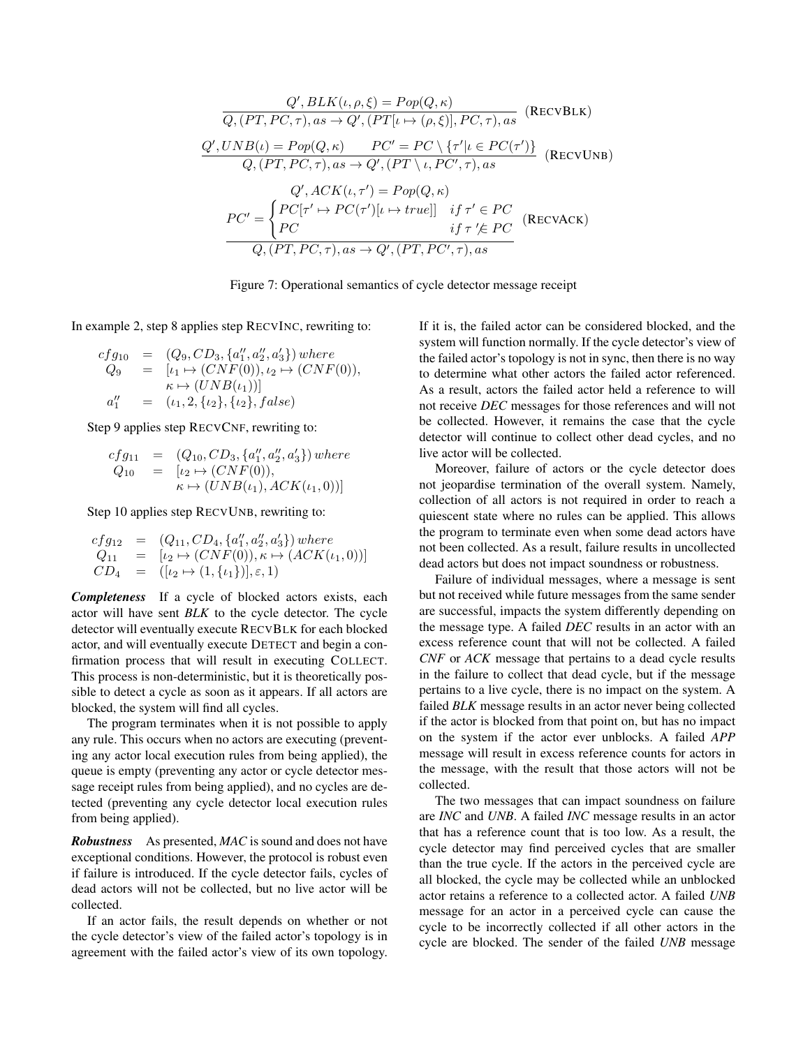$$
Q', BLK(\iota, \rho, \xi) = Pop(Q, \kappa)
$$
  
\n
$$
Q, (PT, PC, \tau), as \rightarrow Q', (PT[\iota \mapsto (\rho, \xi)], PC, \tau), as
$$
 (RECVELK)  
\n
$$
Q', UNB(\iota) = Pop(Q, \kappa)
$$
  
\n
$$
PC' = PC \setminus {\tau' | \iota \in PC(\tau') } \atop Q, (PT, PC, \tau), as \rightarrow Q', (PT \setminus \iota, PC', \tau), as
$$
  
\n
$$
Q', ACK(\iota, \tau') = Pop(Q, \kappa)
$$
  
\n
$$
PC' = \begin{cases} PC[\tau' \mapsto PC(\tau')[\iota \mapsto true]] & if \tau' \in PC \\ PC & if \tau' \notin PC \\ \hline Q, (PT, PC, \tau), as \rightarrow Q', (PT, PC', \tau), as \end{cases}
$$
 (RECVACK)

Figure 7: Operational semantics of cycle detector message receipt

In example 2, step 8 applies step RECVINC, rewriting to:

$$
cfg_{10} = (Q_9, CD_3, \{a''_1, a''_2, a'_3\}) where\nQ_9 = [ \iota_1 \mapsto (CNF(0)), \iota_2 \mapsto (CNF(0)),\n\kappa \mapsto (UNB(\iota_1))]
$$
\n
$$
a''_1 = (\iota_1, 2, \{\iota_2\}, \{\iota_2\}, false)
$$

Step 9 applies step RECVCNF, rewriting to:

$$
cfg_{11} = (Q_{10}, CD_3, \{a_1'', a_2'', a_3'\}) where Q_{10} = [\iota_2 \mapsto (CNF(0)), \kappa \mapsto (UNB(\iota_1), ACK(\iota_1, 0))]
$$

Step 10 applies step RECVUNB, rewriting to:

$$
cfg_{12} = (Q_{11}, CD_4, \{a''_1, a''_2, a'_3\}) where Q_{11} = [ \iota_2 \mapsto (CNF(0)), \kappa \mapsto (ACK(\iota_1, 0)) ] CD_4 = ([\iota_2 \mapsto (1, \{\iota_1\})], \varepsilon, 1)
$$

*Completeness* If a cycle of blocked actors exists, each actor will have sent *BLK* to the cycle detector. The cycle detector will eventually execute RECVBLK for each blocked actor, and will eventually execute DETECT and begin a confirmation process that will result in executing COLLECT. This process is non-deterministic, but it is theoretically possible to detect a cycle as soon as it appears. If all actors are blocked, the system will find all cycles.

The program terminates when it is not possible to apply any rule. This occurs when no actors are executing (preventing any actor local execution rules from being applied), the queue is empty (preventing any actor or cycle detector message receipt rules from being applied), and no cycles are detected (preventing any cycle detector local execution rules from being applied).

*Robustness* As presented, *MAC* is sound and does not have exceptional conditions. However, the protocol is robust even if failure is introduced. If the cycle detector fails, cycles of dead actors will not be collected, but no live actor will be collected.

If an actor fails, the result depends on whether or not the cycle detector's view of the failed actor's topology is in agreement with the failed actor's view of its own topology.

If it is, the failed actor can be considered blocked, and the system will function normally. If the cycle detector's view of the failed actor's topology is not in sync, then there is no way to determine what other actors the failed actor referenced. As a result, actors the failed actor held a reference to will not receive *DEC* messages for those references and will not be collected. However, it remains the case that the cycle detector will continue to collect other dead cycles, and no live actor will be collected.

Moreover, failure of actors or the cycle detector does not jeopardise termination of the overall system. Namely, collection of all actors is not required in order to reach a quiescent state where no rules can be applied. This allows the program to terminate even when some dead actors have not been collected. As a result, failure results in uncollected dead actors but does not impact soundness or robustness.

Failure of individual messages, where a message is sent but not received while future messages from the same sender are successful, impacts the system differently depending on the message type. A failed *DEC* results in an actor with an excess reference count that will not be collected. A failed *CNF* or *ACK* message that pertains to a dead cycle results in the failure to collect that dead cycle, but if the message pertains to a live cycle, there is no impact on the system. A failed *BLK* message results in an actor never being collected if the actor is blocked from that point on, but has no impact on the system if the actor ever unblocks. A failed *APP* message will result in excess reference counts for actors in the message, with the result that those actors will not be collected.

The two messages that can impact soundness on failure are *INC* and *UNB*. A failed *INC* message results in an actor that has a reference count that is too low. As a result, the cycle detector may find perceived cycles that are smaller than the true cycle. If the actors in the perceived cycle are all blocked, the cycle may be collected while an unblocked actor retains a reference to a collected actor. A failed *UNB* message for an actor in a perceived cycle can cause the cycle to be incorrectly collected if all other actors in the cycle are blocked. The sender of the failed *UNB* message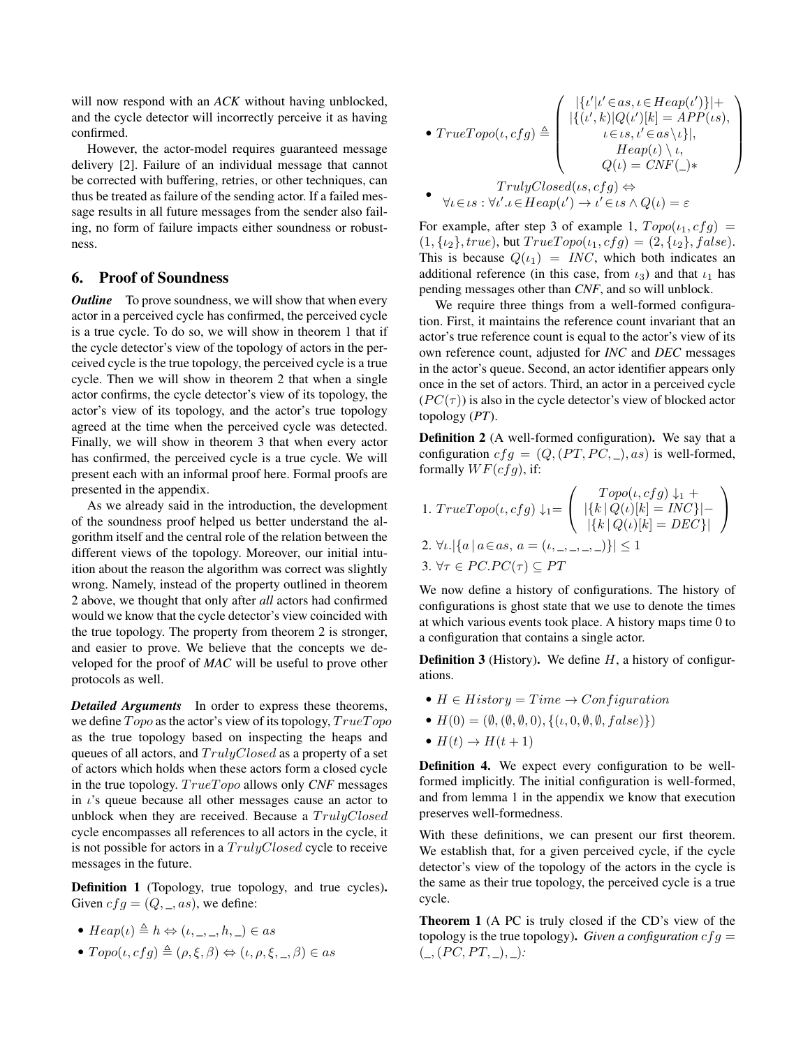will now respond with an *ACK* without having unblocked, and the cycle detector will incorrectly perceive it as having confirmed.

However, the actor-model requires guaranteed message delivery [2]. Failure of an individual message that cannot be corrected with buffering, retries, or other techniques, can thus be treated as failure of the sending actor. If a failed message results in all future messages from the sender also failing, no form of failure impacts either soundness or robustness.

#### 6. Proof of Soundness

*Outline* To prove soundness, we will show that when every actor in a perceived cycle has confirmed, the perceived cycle is a true cycle. To do so, we will show in theorem 1 that if the cycle detector's view of the topology of actors in the perceived cycle is the true topology, the perceived cycle is a true cycle. Then we will show in theorem 2 that when a single actor confirms, the cycle detector's view of its topology, the actor's view of its topology, and the actor's true topology agreed at the time when the perceived cycle was detected. Finally, we will show in theorem 3 that when every actor has confirmed, the perceived cycle is a true cycle. We will present each with an informal proof here. Formal proofs are presented in the appendix.

As we already said in the introduction, the development of the soundness proof helped us better understand the algorithm itself and the central role of the relation between the different views of the topology. Moreover, our initial intuition about the reason the algorithm was correct was slightly wrong. Namely, instead of the property outlined in theorem 2 above, we thought that only after *all* actors had confirmed would we know that the cycle detector's view coincided with the true topology. The property from theorem 2 is stronger, and easier to prove. We believe that the concepts we developed for the proof of *MAC* will be useful to prove other protocols as well.

*Detailed Arguments* In order to express these theorems, we define  $Topo$  as the actor's view of its topology,  $TrueTopo$ as the true topology based on inspecting the heaps and queues of all actors, and  $TrulyClosed$  as a property of a set of actors which holds when these actors form a closed cycle in the true topology.  $TrueTopo$  allows only *CNF* messages in  $\iota$ 's queue because all other messages cause an actor to unblock when they are received. Because a  $TrulyClosed$ cycle encompasses all references to all actors in the cycle, it is not possible for actors in a  $TrulyClosed$  cycle to receive messages in the future.

Definition 1 (Topology, true topology, and true cycles). Given  $cfq = (Q, \ldots, as)$ , we define:

- $Heap(\iota) \triangleq h \Leftrightarrow (\iota, \_, \_, h, \_) \in as$
- $Topo(\iota, cfg) \triangleq (\rho, \xi, \beta) \Leftrightarrow (\iota, \rho, \xi, \Box, \beta) \in as$

$$
\bullet \ \operatorname{TrueTopo}(\iota, cfg) \triangleq \left(\begin{array}{c} |\{\iota'|\iota' \in as, \iota \in \operatorname{Heap}(\iota')\}|+\\ |\{\iota', k\}|Q(\iota')[k] = APP(\iota s),\\ \iota \in \iota s, \iota' \in as \setminus \iota\}|,\\ \operatorname{Heap}(\iota) \setminus \iota,\\ Q(\iota) = CNF(\_) *\\ \forall \iota \in \iota s : \forall \iota'.\iota \in \operatorname{Heap}(\iota') \to \iota' \in \iota s \land Q(\iota) = \varepsilon \end{array}\right)
$$

For example, after step 3 of example 1,  $Topo(\iota_1, cfg)$  =  $(1, \{\iota_2\}, true)$ , but  $TrueTopo(\iota_1, cfg) = (2, \{\iota_2\}, false).$ This is because  $Q(t_1) = INC$ , which both indicates an additional reference (in this case, from  $\iota_3$ ) and that  $\iota_1$  has pending messages other than *CNF*, and so will unblock.

We require three things from a well-formed configuration. First, it maintains the reference count invariant that an actor's true reference count is equal to the actor's view of its own reference count, adjusted for *INC* and *DEC* messages in the actor's queue. Second, an actor identifier appears only once in the set of actors. Third, an actor in a perceived cycle  $(PC(\tau))$  is also in the cycle detector's view of blocked actor topology (*PT*).

Definition 2 (A well-formed configuration). We say that a configuration  $cfg = (Q,(PT,PC, \_), as)$  is well-formed, formally  $WF(cfg)$ , if:

1. 
$$
TrueTopo(\iota, cfg) \downarrow_1 = \left( \begin{array}{c} Topo(\iota, cfg) \downarrow_1 + \\ |\{k \mid Q(\iota)[k] = INC\}| - \\ |\{k \mid Q(\iota)[k] = DEC\}| \end{array} \right)
$$
  
2. 
$$
\forall \iota. |\{a \mid a \in as, a = (\iota, \_, \_, \_, \_)\}| \le 1
$$
  
3. 
$$
\forall \tau \in PC, PC(\tau) \subseteq PT
$$

We now define a history of configurations. The history of configurations is ghost state that we use to denote the times at which various events took place. A history maps time 0 to a configuration that contains a single actor.

**Definition 3** (History). We define  $H$ , a history of configurations.

- $H \in History = Time \rightarrow Configuration$
- $H(0) = (\emptyset, (\emptyset, \emptyset, 0), \{(\iota, 0, \emptyset, \emptyset, false)\})$
- $H(t) \rightarrow H(t+1)$

Definition 4. We expect every configuration to be wellformed implicitly. The initial configuration is well-formed, and from lemma 1 in the appendix we know that execution preserves well-formedness.

With these definitions, we can present our first theorem. We establish that, for a given perceived cycle, if the cycle detector's view of the topology of the actors in the cycle is the same as their true topology, the perceived cycle is a true cycle.

Theorem 1 (A PC is truly closed if the CD's view of the topology is the true topology). *Given a configuration*  $cf g =$  $(\_, (PC, PT, \_), \_):$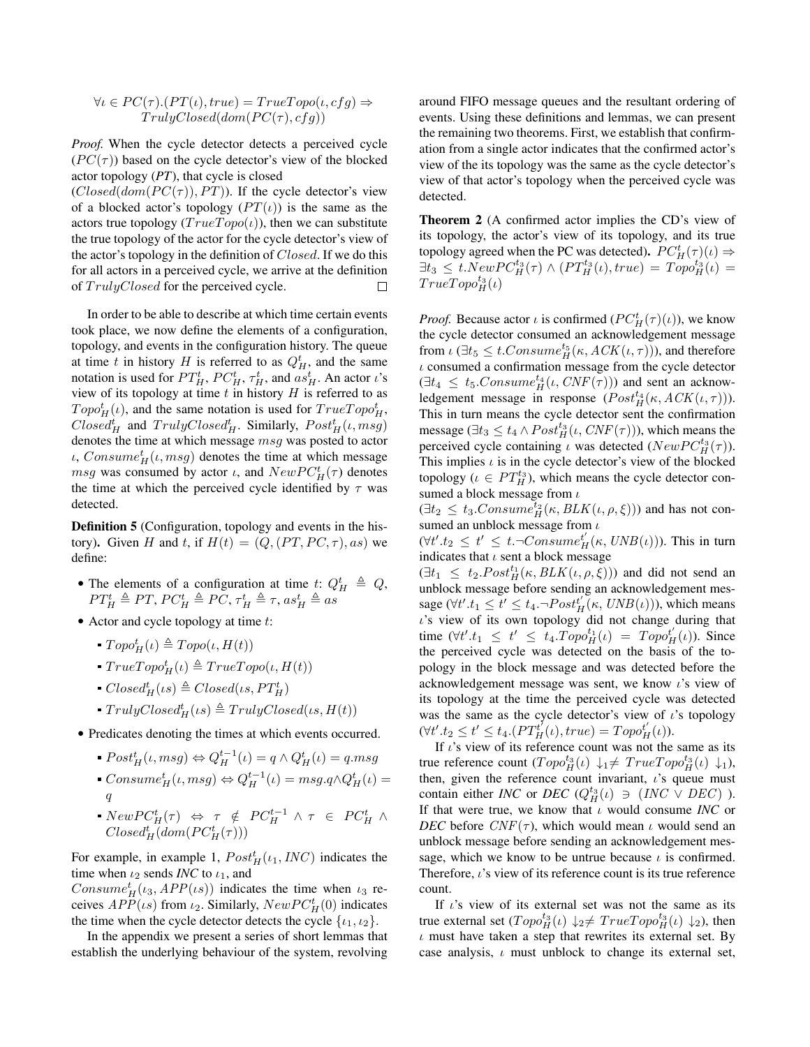$$
\forall \iota \in PC(\tau). (PT(\iota), true) = TrueTopo(\iota, cfg) \Rightarrow
$$
  

$$
TrulyClosed(dom(PC(\tau), cfg))
$$

*Proof.* When the cycle detector detects a perceived cycle  $(PC(\tau))$  based on the cycle detector's view of the blocked actor topology (*PT*), that cycle is closed

 $(Closed(dom(PC(\tau)), PT)$ ). If the cycle detector's view of a blocked actor's topology  $(PT(t))$  is the same as the actors true topology  $(TrueTopo(\iota))$ , then we can substitute the true topology of the actor for the cycle detector's view of the actor's topology in the definition of Closed. If we do this for all actors in a perceived cycle, we arrive at the definition of  $TrulyClosed$  for the perceived cycle.  $\Box$ 

In order to be able to describe at which time certain events took place, we now define the elements of a configuration, topology, and events in the configuration history. The queue at time t in history H is referred to as  $Q_H^t$ , and the same notation is used for  $PT_H^t$ ,  $PC_H^t$ ,  $\tau_H^t$ , and  $as_H^t$ . An actor *i*'s view of its topology at time  $t$  in history  $H$  is referred to as  $Topo_H^t(\iota)$ , and the same notation is used for  $TrueTopo_H^t$ ,  $Closed_H^t$  and  $TrulyClosed_H^t$ . Similarly,  $Post_H^t(\iota, msg)$ denotes the time at which message msg was posted to actor  $\iota$ ,  $Consum_{H}e_{H}^{t}(\iota, msg)$  denotes the time at which message *msg* was consumed by actor *i*, and  $NewPC_H^t(\tau)$  denotes the time at which the perceived cycle identified by  $\tau$  was detected.

Definition 5 (Configuration, topology and events in the history). Given H and t, if  $H(t) = (Q, (PT, PC, \tau), as)$  we define:

- The elements of a configuration at time t:  $Q_H^t \triangleq Q$ ,  $PT_H^t \triangleq PT$ ,  $PC_H^t \triangleq PC$ ,  $\tau_H^t \triangleq \tau$ ,  $as_H^t \triangleq as$
- Actor and cycle topology at time  $t$ :
	- $Topo_H^t(\iota) \triangleq Topo(\iota, H(t))$
	- $TrueTopo_H^t(\iota) \triangleq TrueTopo(\iota, H(t))$
	- $Closed_H^t(\iota s) \triangleq Closed(\iota s, PT_H^t)$
	- $TrulyClosed_H^t (s) \triangleq TrulyClosed (s, H(t))$
- Predicates denoting the times at which events occurred.
	- $Post^t_H(\iota, msg) \Leftrightarrow Q^{t-1}_H(\iota) = q \wedge Q^t_H(\iota) = q.msg$
	- $Consum e_H^t(\iota, msg) \Leftrightarrow Q_H^{t-1}(\iota) = msg.q \wedge Q_H^t(\iota) =$ q
	- $NewPC_H^t(\tau) \Leftrightarrow \tau \notin PC_H^{t-1} \wedge \tau \in PC_H^t \wedge$  $Closed_H^t(dom(PC^t_H(\tau)))$

For example, in example 1,  $Post_H^t(\iota_1, INC)$  indicates the time when  $\iota_2$  sends *INC* to  $\iota_1$ , and

 $Consum e_H^t(\iota_3, APP(\iota s))$  indicates the time when  $\iota_3$  receives  $APP(\iota s)$  from  $\iota_2$ . Similarly,  $NewPC_H^t(0)$  indicates the time when the cycle detector detects the cycle  $\{i_1, i_2\}$ .

In the appendix we present a series of short lemmas that establish the underlying behaviour of the system, revolving

around FIFO message queues and the resultant ordering of events. Using these definitions and lemmas, we can present the remaining two theorems. First, we establish that confirmation from a single actor indicates that the confirmed actor's view of the its topology was the same as the cycle detector's view of that actor's topology when the perceived cycle was detected.

Theorem 2 (A confirmed actor implies the CD's view of its topology, the actor's view of its topology, and its true topology agreed when the PC was detected).  $PC_H^t(\tau)(\iota) \Rightarrow$  $\exists t_3 \le t. NewPC^{t_3}_H(\tau) \wedge (PT^{t_3}_H(\iota), true) = Topo^{t_3}_H(\iota) =$  $TrueTopo^{t_3}_H(\iota)$ 

*Proof.* Because actor  $\iota$  is confirmed  $(PC_H^t(\tau)(\iota))$ , we know the cycle detector consumed an acknowledgement message from  $\iota(\exists t_5 \leq t$ . Consum $e^{t_5}_H(\kappa,ACK(\iota,\tau)))$ , and therefore  $\iota$  consumed a confirmation message from the cycle detector  $(\exists t_4 \leq t_5. \textit{Consum}^{t_4}(\iota, \textit{CNF}(\tau)))$  and sent an acknowledgement message in response  $(Post_H^{t_4}(\kappa, ACK(\iota, \tau))).$ This in turn means the cycle detector sent the confirmation message ( $\exists t_3 \le t_4 \wedge Post_H^{t_3}(\iota, CNF(\tau)))$ , which means the perceived cycle containing  $\iota$  was detected  $(NewPC_H^{t_3}(\tau))$ . This implies  $\iota$  is in the cycle detector's view of the blocked topology ( $\iota \in PT_H^{\mathfrak{t}_3}$ ), which means the cycle detector consumed a block message from  $\iota$ 

 $(\exists t_2 \leq t_3. \textit{Cosusume}_{H}^{\overline{t}_2}(\kappa, \textit{BLK}(\iota, \rho, \xi)))$  and has not consumed an unblock message from  $\iota$ 

 $(\forall t'.t_2 \leq t' \leq t.\neg Consum e^{t'}_{H}(\kappa, \text{UNB}(\iota)))$ . This in turn indicates that  $\iota$  sent a block message

 $(\exists t_1 \leq t_2 \cdot Post_H^{t_1}(\kappa, BLK(\iota, \rho, \xi)))$  and did not send an unblock message before sending an acknowledgement message  $(\forall t'.t_1 \le t' \le t_4.\neg Post_{H}^{t'}(\kappa, \text{UNB}(\iota)))$ , which means ι's view of its own topology did not change during that time  $(\forall t'.t_1 \leq t' \leq t_4.Topo_H^{t_1}(t) = Topo_H^{t'}(t))$ . Since the perceived cycle was detected on the basis of the topology in the block message and was detected before the acknowledgement message was sent, we know  $\iota$ 's view of its topology at the time the perceived cycle was detected was the same as the cycle detector's view of  $\iota$ 's topology  $(\forall t'. t_2 \le t' \le t_4. (PT_H^{t'}(\iota), true) = Topo_H^{t'}(\iota)).$ 

If  $\iota$ 's view of its reference count was not the same as its true reference count  $(Topo_H^{t_3}(\iota) \downarrow_1 \neq TrueTopo_H^{t_3}(\iota) \downarrow_1$ ), then, given the reference count invariant,  $\iota$ 's queue must contain either *INC* or *DEC*  $(Q_H^{t_3}(t) \ni (INC \vee DEC) )$ . If that were true, we know that ι would consume *INC* or *DEC* before  $CNF(\tau)$ , which would mean  $\iota$  would send an unblock message before sending an acknowledgement message, which we know to be untrue because  $\iota$  is confirmed. Therefore,  $\iota$ 's view of its reference count is its true reference count.

If  $\iota$ 's view of its external set was not the same as its true external set  $(Topo_H^{t_3}(\iota) \downarrow_2 \neq TrueTopo_H^{t_3}(\iota) \downarrow_2)$ , then  $\iota$  must have taken a step that rewrites its external set. By case analysis,  $\iota$  must unblock to change its external set,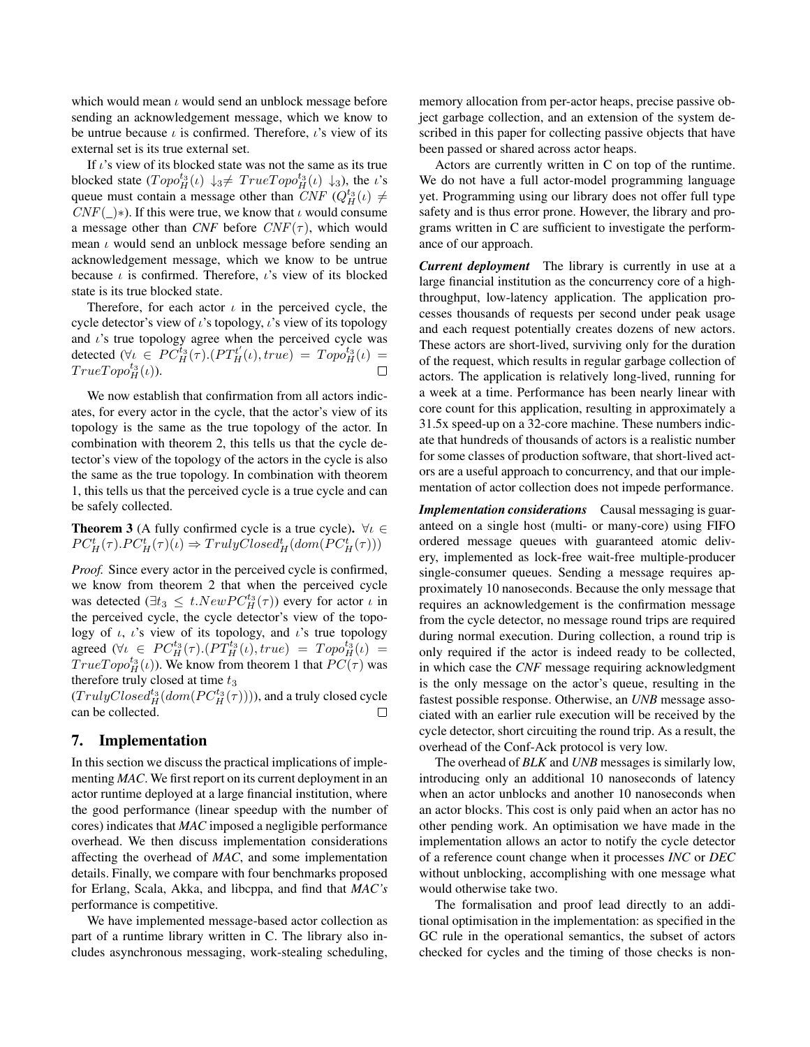which would mean  $\iota$  would send an unblock message before sending an acknowledgement message, which we know to be untrue because  $\iota$  is confirmed. Therefore,  $\iota$ 's view of its external set is its true external set.

If  $\iota$ 's view of its blocked state was not the same as its true blocked state  $(Topo_H^{t_3}(\iota) \downarrow_3 \neq TrueTopo_H^{t_3}(\iota) \downarrow_3)$ , the *i*'s queue must contain a message other than  $\overline{CNF}$  ( $Q_H^{t_3}(\iota) \neq$  $CNF(\_\ast)$ . If this were true, we know that  $\iota$  would consume a message other than *CNF* before  $CNF(\tau)$ , which would mean  $\iota$  would send an unblock message before sending an acknowledgement message, which we know to be untrue because  $\iota$  is confirmed. Therefore,  $\iota$ 's view of its blocked state is its true blocked state.

Therefore, for each actor  $\iota$  in the perceived cycle, the cycle detector's view of  $\iota$ 's topology,  $\iota$ 's view of its topology and  $\iota$ 's true topology agree when the perceived cycle was detected  $(\forall \iota \in PC_H^{t_3}(\tau) . (PT_H^{t'}(\iota), true) = Top_{H}^{t_3}(\iota) =$  $TrueTopo^{t_3}_H(\iota)$ ).

We now establish that confirmation from all actors indicates, for every actor in the cycle, that the actor's view of its topology is the same as the true topology of the actor. In combination with theorem 2, this tells us that the cycle detector's view of the topology of the actors in the cycle is also the same as the true topology. In combination with theorem 1, this tells us that the perceived cycle is a true cycle and can be safely collected.

**Theorem 3** (A fully confirmed cycle is a true cycle).  $\forall \iota \in$  $PC_H^t(\tau). PC_H^t(\tau)(\iota) \Rightarrow TrulyClosed_H^t(dom(PC_H^t(\tau)))$ 

*Proof.* Since every actor in the perceived cycle is confirmed, we know from theorem 2 that when the perceived cycle was detected ( $\exists t_3 \leq t$ . $NewPC_H^{t_3}(\tau)$ ) every for actor  $\iota$  in the perceived cycle, the cycle detector's view of the topology of  $\iota$ ,  $\iota$ 's view of its topology, and  $\iota$ 's true topology agreed  $(\forall \iota \in PC_H^{t_3}(\tau) . (PT_H^{t_3}(\iota), true) = Topo_H^{t_3}(\iota) =$  $TrueTopo<sub>H</sub><sup>t<sub>3</sub></sup>(t)$ ). We know from theorem 1 that  $PC(\tau)$  was therefore truly closed at time  $t_3$ 

 $(TrulyClosed^{t_3}_H(dom(PC^{t_3}_H(\tau))))$ , and a truly closed cycle can be collected.

## 7. Implementation

In this section we discuss the practical implications of implementing *MAC*. We first report on its current deployment in an actor runtime deployed at a large financial institution, where the good performance (linear speedup with the number of cores) indicates that *MAC* imposed a negligible performance overhead. We then discuss implementation considerations affecting the overhead of *MAC*, and some implementation details. Finally, we compare with four benchmarks proposed for Erlang, Scala, Akka, and libcppa, and find that *MAC's* performance is competitive.

We have implemented message-based actor collection as part of a runtime library written in C. The library also includes asynchronous messaging, work-stealing scheduling,

memory allocation from per-actor heaps, precise passive object garbage collection, and an extension of the system described in this paper for collecting passive objects that have been passed or shared across actor heaps.

Actors are currently written in C on top of the runtime. We do not have a full actor-model programming language yet. Programming using our library does not offer full type safety and is thus error prone. However, the library and programs written in C are sufficient to investigate the performance of our approach.

*Current deployment* The library is currently in use at a large financial institution as the concurrency core of a highthroughput, low-latency application. The application processes thousands of requests per second under peak usage and each request potentially creates dozens of new actors. These actors are short-lived, surviving only for the duration of the request, which results in regular garbage collection of actors. The application is relatively long-lived, running for a week at a time. Performance has been nearly linear with core count for this application, resulting in approximately a 31.5x speed-up on a 32-core machine. These numbers indicate that hundreds of thousands of actors is a realistic number for some classes of production software, that short-lived actors are a useful approach to concurrency, and that our implementation of actor collection does not impede performance.

*Implementation considerations* Causal messaging is guaranteed on a single host (multi- or many-core) using FIFO ordered message queues with guaranteed atomic delivery, implemented as lock-free wait-free multiple-producer single-consumer queues. Sending a message requires approximately 10 nanoseconds. Because the only message that requires an acknowledgement is the confirmation message from the cycle detector, no message round trips are required during normal execution. During collection, a round trip is only required if the actor is indeed ready to be collected, in which case the *CNF* message requiring acknowledgment is the only message on the actor's queue, resulting in the fastest possible response. Otherwise, an *UNB* message associated with an earlier rule execution will be received by the cycle detector, short circuiting the round trip. As a result, the overhead of the Conf-Ack protocol is very low.

The overhead of *BLK* and *UNB* messages is similarly low, introducing only an additional 10 nanoseconds of latency when an actor unblocks and another 10 nanoseconds when an actor blocks. This cost is only paid when an actor has no other pending work. An optimisation we have made in the implementation allows an actor to notify the cycle detector of a reference count change when it processes *INC* or *DEC* without unblocking, accomplishing with one message what would otherwise take two.

The formalisation and proof lead directly to an additional optimisation in the implementation: as specified in the GC rule in the operational semantics, the subset of actors checked for cycles and the timing of those checks is non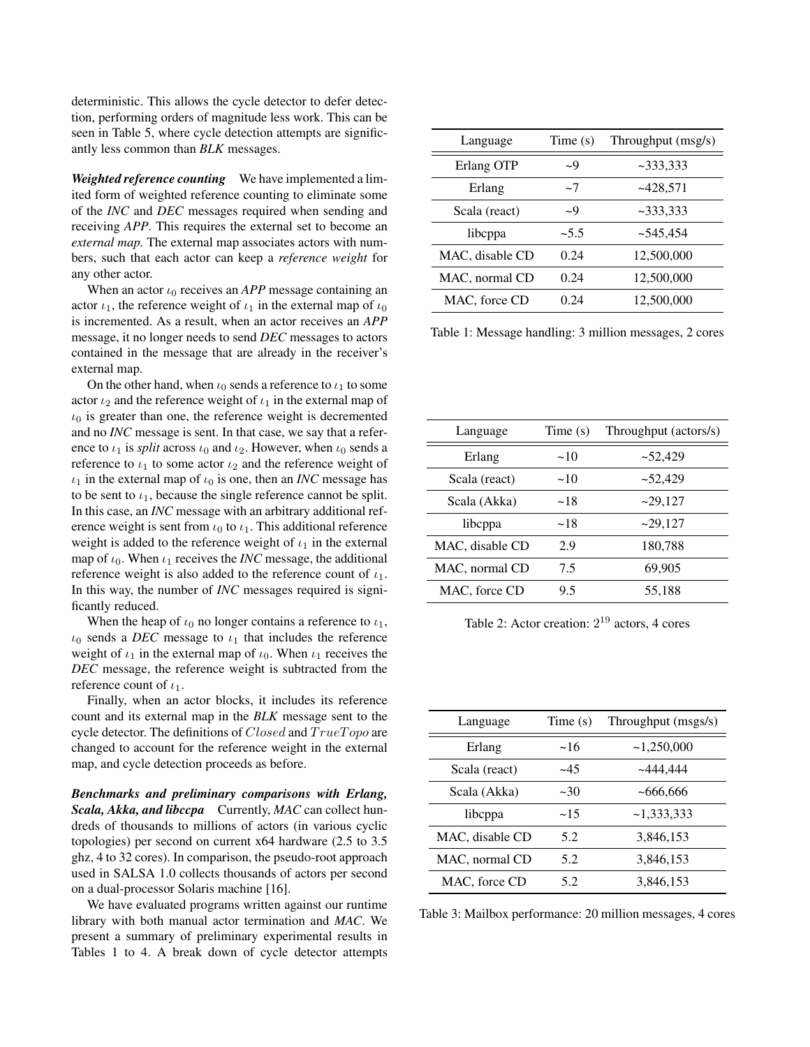deterministic. This allows the cycle detector to defer detection, performing orders of magnitude less work. This can be seen in Table 5, where cycle detection attempts are significantly less common than *BLK* messages.

*Weighted reference counting* We have implemented a limited form of weighted reference counting to eliminate some of the *INC* and *DEC* messages required when sending and receiving *APP*. This requires the external set to become an *external map.* The external map associates actors with numbers, such that each actor can keep a *reference weight* for any other actor.

When an actor  $\iota_0$  receives an *APP* message containing an actor  $\iota_1$ , the reference weight of  $\iota_1$  in the external map of  $\iota_0$ is incremented. As a result, when an actor receives an *APP* message, it no longer needs to send *DEC* messages to actors contained in the message that are already in the receiver's external map.

On the other hand, when  $\iota_0$  sends a reference to  $\iota_1$  to some actor  $\iota_2$  and the reference weight of  $\iota_1$  in the external map of  $\iota_0$  is greater than one, the reference weight is decremented and no *INC* message is sent. In that case, we say that a reference to  $\iota_1$  is *split* across  $\iota_0$  and  $\iota_2$ . However, when  $\iota_0$  sends a reference to  $\iota_1$  to some actor  $\iota_2$  and the reference weight of  $\iota_1$  in the external map of  $\iota_0$  is one, then an *INC* message has to be sent to  $\iota_1$ , because the single reference cannot be split. In this case, an *INC* message with an arbitrary additional reference weight is sent from  $\iota_0$  to  $\iota_1$ . This additional reference weight is added to the reference weight of  $\iota_1$  in the external map of  $\iota_0$ . When  $\iota_1$  receives the *INC* message, the additional reference weight is also added to the reference count of  $\iota_1$ . In this way, the number of *INC* messages required is significantly reduced.

When the heap of  $\iota_0$  no longer contains a reference to  $\iota_1$ ,  $\iota_0$  sends a *DEC* message to  $\iota_1$  that includes the reference weight of  $\iota_1$  in the external map of  $\iota_0$ . When  $\iota_1$  receives the *DEC* message, the reference weight is subtracted from the reference count of  $\iota_1$ .

Finally, when an actor blocks, it includes its reference count and its external map in the *BLK* message sent to the cycle detector. The definitions of  $Closed$  and  $TrueTopo$  are changed to account for the reference weight in the external map, and cycle detection proceeds as before.

*Benchmarks and preliminary comparisons with Erlang, Scala, Akka, and libccpa* Currently, *MAC* can collect hundreds of thousands to millions of actors (in various cyclic topologies) per second on current x64 hardware (2.5 to 3.5 ghz, 4 to 32 cores). In comparison, the pseudo-root approach used in SALSA 1.0 collects thousands of actors per second on a dual-processor Solaris machine [16].

We have evaluated programs written against our runtime library with both manual actor termination and *MAC*. We present a summary of preliminary experimental results in Tables 1 to 4. A break down of cycle detector attempts

| Language        | Time $(s)$ | Throughput (msg/s) |  |  |
|-----------------|------------|--------------------|--|--|
| Erlang OTP      | ~9         | $-333,333$         |  |  |
| Erlang          | ~1         | $-428,571$         |  |  |
| Scala (react)   | ~9         | $-333,333$         |  |  |
| libcppa         | $-5.5$     | ~545,454           |  |  |
| MAC, disable CD | 0.24       | 12,500,000         |  |  |
| MAC, normal CD  | 0.24       | 12,500,000         |  |  |
| MAC, force CD   | 0.24       | 12,500,000         |  |  |

Table 1: Message handling: 3 million messages, 2 cores

| Language        | Time(s) | Throughput (actors/s) |  |  |
|-----------------|---------|-----------------------|--|--|
| Erlang          | ~10     | ~152.429              |  |  |
| Scala (react)   | ~10     | ~52,429               |  |  |
| Scala (Akka)    | ~18     | $-29,127$             |  |  |
| libcppa         | ~18     | ~29,127               |  |  |
| MAC, disable CD | 2.9     | 180,788               |  |  |
| MAC, normal CD  | 7.5     | 69,905                |  |  |
| MAC, force CD   | 9.5     | 55,188                |  |  |

Table 2: Actor creation:  $2^{19}$  actors, 4 cores

| Language        | Time $(s)$ | Throughput (msgs/s) |  |  |
|-----------------|------------|---------------------|--|--|
| Erlang          | ~16        | ~1,250,000          |  |  |
| Scala (react)   | $-45$      | ~444.444            |  |  |
| Scala (Akka)    | $~1$ - 30  | ~10006666           |  |  |
| libcppa         | ~15        | ~1,333,333          |  |  |
| MAC, disable CD | 5.2        | 3,846,153           |  |  |
| MAC, normal CD  | 5.2        | 3.846.153           |  |  |
| MAC, force CD   | 5.2        | 3,846,153           |  |  |

Table 3: Mailbox performance: 20 million messages, 4 cores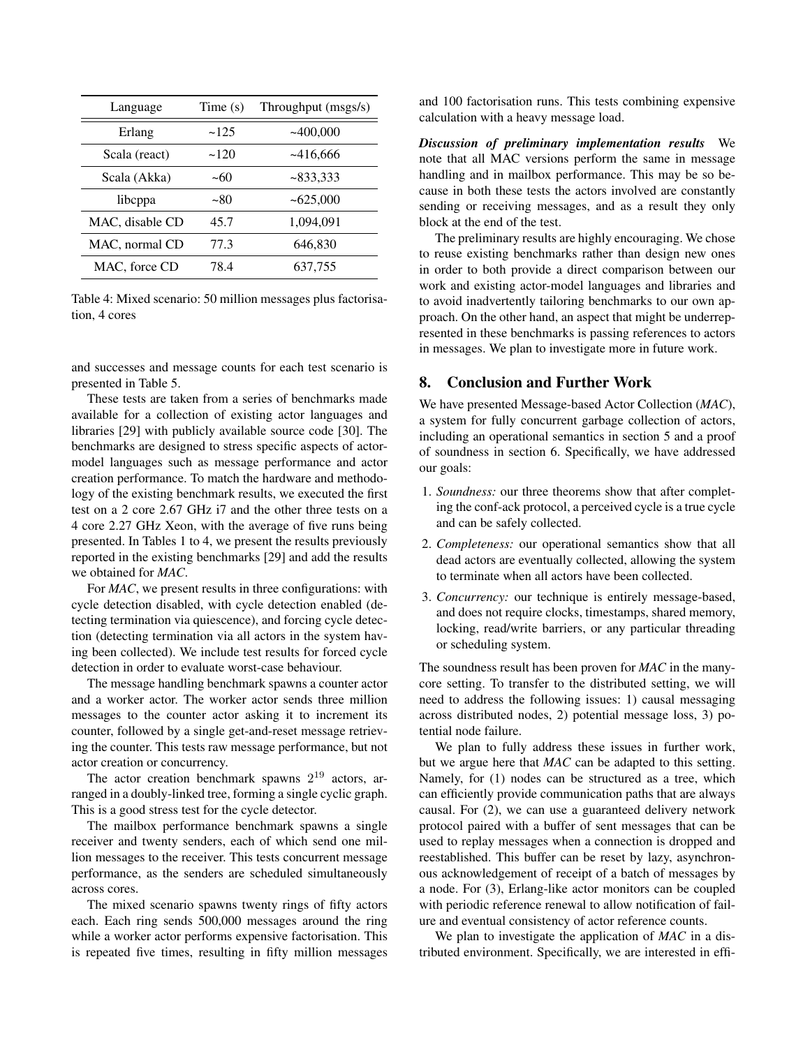| Language        | Time(s) | Throughput (msgs/s) |  |  |
|-----------------|---------|---------------------|--|--|
| Erlang          | ~125    | ~100,000            |  |  |
| Scala (react)   | ~120    | $-416,666$          |  |  |
| Scala (Akka)    | ~100    | ~833,333            |  |  |
| libcppa         | $-80$   | ~1000               |  |  |
| MAC, disable CD | 45.7    | 1,094,091           |  |  |
| MAC, normal CD  | 77.3    | 646,830             |  |  |
| MAC, force CD   | 78.4    | 637,755             |  |  |

Table 4: Mixed scenario: 50 million messages plus factorisation, 4 cores

and successes and message counts for each test scenario is presented in Table 5.

These tests are taken from a series of benchmarks made available for a collection of existing actor languages and libraries [29] with publicly available source code [30]. The benchmarks are designed to stress specific aspects of actormodel languages such as message performance and actor creation performance. To match the hardware and methodology of the existing benchmark results, we executed the first test on a 2 core 2.67 GHz i7 and the other three tests on a 4 core 2.27 GHz Xeon, with the average of five runs being presented. In Tables 1 to 4, we present the results previously reported in the existing benchmarks [29] and add the results we obtained for *MAC*.

For *MAC*, we present results in three configurations: with cycle detection disabled, with cycle detection enabled (detecting termination via quiescence), and forcing cycle detection (detecting termination via all actors in the system having been collected). We include test results for forced cycle detection in order to evaluate worst-case behaviour.

The message handling benchmark spawns a counter actor and a worker actor. The worker actor sends three million messages to the counter actor asking it to increment its counter, followed by a single get-and-reset message retrieving the counter. This tests raw message performance, but not actor creation or concurrency.

The actor creation benchmark spawns  $2^{19}$  actors, arranged in a doubly-linked tree, forming a single cyclic graph. This is a good stress test for the cycle detector.

The mailbox performance benchmark spawns a single receiver and twenty senders, each of which send one million messages to the receiver. This tests concurrent message performance, as the senders are scheduled simultaneously across cores.

The mixed scenario spawns twenty rings of fifty actors each. Each ring sends 500,000 messages around the ring while a worker actor performs expensive factorisation. This is repeated five times, resulting in fifty million messages

and 100 factorisation runs. This tests combining expensive calculation with a heavy message load.

*Discussion of preliminary implementation results* We note that all MAC versions perform the same in message handling and in mailbox performance. This may be so because in both these tests the actors involved are constantly sending or receiving messages, and as a result they only block at the end of the test.

The preliminary results are highly encouraging. We chose to reuse existing benchmarks rather than design new ones in order to both provide a direct comparison between our work and existing actor-model languages and libraries and to avoid inadvertently tailoring benchmarks to our own approach. On the other hand, an aspect that might be underrepresented in these benchmarks is passing references to actors in messages. We plan to investigate more in future work.

#### 8. Conclusion and Further Work

We have presented Message-based Actor Collection (*MAC*), a system for fully concurrent garbage collection of actors, including an operational semantics in section 5 and a proof of soundness in section 6. Specifically, we have addressed our goals:

- 1. *Soundness:* our three theorems show that after completing the conf-ack protocol, a perceived cycle is a true cycle and can be safely collected.
- 2. *Completeness:* our operational semantics show that all dead actors are eventually collected, allowing the system to terminate when all actors have been collected.
- 3. *Concurrency:* our technique is entirely message-based, and does not require clocks, timestamps, shared memory, locking, read/write barriers, or any particular threading or scheduling system.

The soundness result has been proven for *MAC* in the manycore setting. To transfer to the distributed setting, we will need to address the following issues: 1) causal messaging across distributed nodes, 2) potential message loss, 3) potential node failure.

We plan to fully address these issues in further work, but we argue here that *MAC* can be adapted to this setting. Namely, for (1) nodes can be structured as a tree, which can efficiently provide communication paths that are always causal. For (2), we can use a guaranteed delivery network protocol paired with a buffer of sent messages that can be used to replay messages when a connection is dropped and reestablished. This buffer can be reset by lazy, asynchronous acknowledgement of receipt of a batch of messages by a node. For (3), Erlang-like actor monitors can be coupled with periodic reference renewal to allow notification of failure and eventual consistency of actor reference counts.

We plan to investigate the application of *MAC* in a distributed environment. Specifically, we are interested in effi-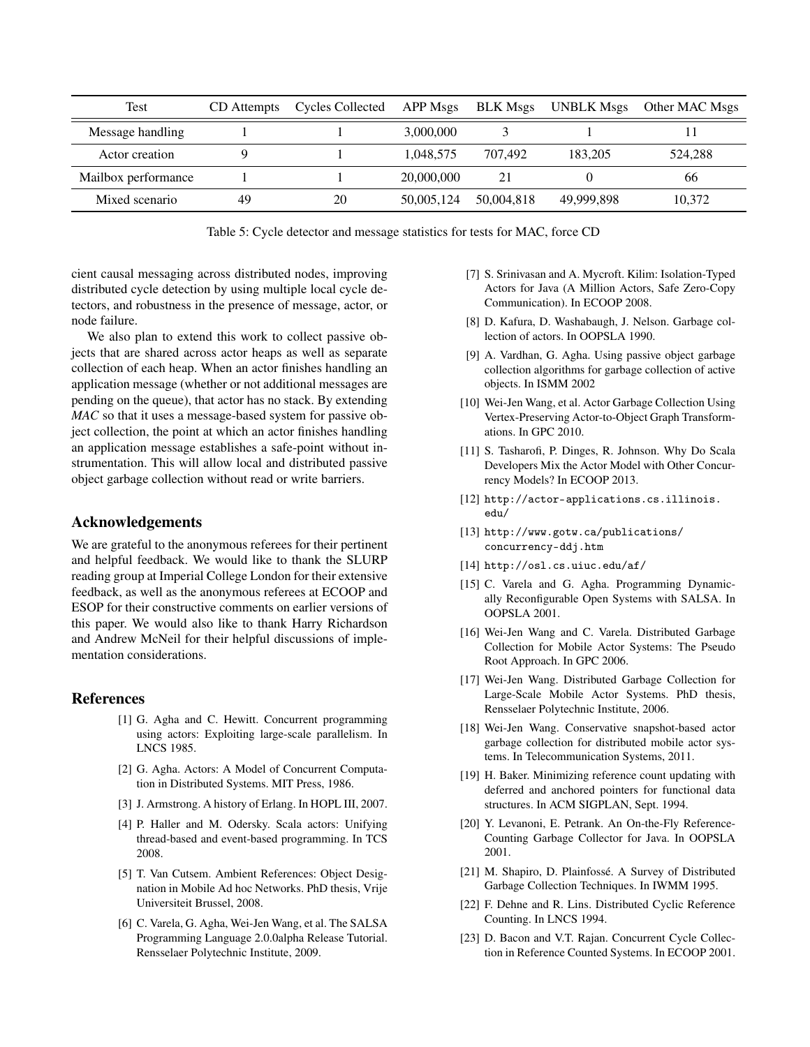| Test                |    | CD Attempts Cycles Collected | APP Msgs   | <b>BLK Msgs</b> | UNBLK Msgs | Other MAC Msgs |
|---------------------|----|------------------------------|------------|-----------------|------------|----------------|
| Message handling    |    |                              | 3,000,000  |                 |            |                |
| Actor creation      |    |                              | 1.048.575  | 707.492         | 183,205    | 524.288        |
| Mailbox performance |    |                              | 20,000,000 | 21              |            | 66             |
| Mixed scenario      | 49 | 20                           | 50.005.124 | 50,004.818      | 49.999.898 | 10.372         |

Table 5: Cycle detector and message statistics for tests for MAC, force CD

cient causal messaging across distributed nodes, improving distributed cycle detection by using multiple local cycle detectors, and robustness in the presence of message, actor, or node failure.

We also plan to extend this work to collect passive objects that are shared across actor heaps as well as separate collection of each heap. When an actor finishes handling an application message (whether or not additional messages are pending on the queue), that actor has no stack. By extending *MAC* so that it uses a message-based system for passive object collection, the point at which an actor finishes handling an application message establishes a safe-point without instrumentation. This will allow local and distributed passive object garbage collection without read or write barriers.

#### Acknowledgements

We are grateful to the anonymous referees for their pertinent and helpful feedback. We would like to thank the SLURP reading group at Imperial College London for their extensive feedback, as well as the anonymous referees at ECOOP and ESOP for their constructive comments on earlier versions of this paper. We would also like to thank Harry Richardson and Andrew McNeil for their helpful discussions of implementation considerations.

## References

- [1] G. Agha and C. Hewitt. Concurrent programming using actors: Exploiting large-scale parallelism. In LNCS 1985.
- [2] G. Agha. Actors: A Model of Concurrent Computation in Distributed Systems. MIT Press, 1986.
- [3] J. Armstrong. A history of Erlang. In HOPL III, 2007.
- [4] P. Haller and M. Odersky. Scala actors: Unifying thread-based and event-based programming. In TCS 2008.
- [5] T. Van Cutsem. Ambient References: Object Designation in Mobile Ad hoc Networks. PhD thesis, Vrije Universiteit Brussel, 2008.
- [6] C. Varela, G. Agha, Wei-Jen Wang, et al. The SALSA Programming Language 2.0.0alpha Release Tutorial. Rensselaer Polytechnic Institute, 2009.
- [7] S. Srinivasan and A. Mycroft. Kilim: Isolation-Typed Actors for Java (A Million Actors, Safe Zero-Copy Communication). In ECOOP 2008.
- [8] D. Kafura, D. Washabaugh, J. Nelson. Garbage collection of actors. In OOPSLA 1990.
- [9] A. Vardhan, G. Agha. Using passive object garbage collection algorithms for garbage collection of active objects. In ISMM 2002
- [10] Wei-Jen Wang, et al. Actor Garbage Collection Using Vertex-Preserving Actor-to-Object Graph Transformations. In GPC 2010.
- [11] S. Tasharofi, P. Dinges, R. Johnson. Why Do Scala Developers Mix the Actor Model with Other Concurrency Models? In ECOOP 2013.
- [12] http://actor-applications.cs.illinois. edu/
- [13] http://www.gotw.ca/publications/ concurrency-ddj.htm
- [14] http://osl.cs.uiuc.edu/af/
- [15] C. Varela and G. Agha. Programming Dynamically Reconfigurable Open Systems with SALSA. In OOPSLA 2001.
- [16] Wei-Jen Wang and C. Varela. Distributed Garbage Collection for Mobile Actor Systems: The Pseudo Root Approach. In GPC 2006.
- [17] Wei-Jen Wang. Distributed Garbage Collection for Large-Scale Mobile Actor Systems. PhD thesis, Rensselaer Polytechnic Institute, 2006.
- [18] Wei-Jen Wang. Conservative snapshot-based actor garbage collection for distributed mobile actor systems. In Telecommunication Systems, 2011.
- [19] H. Baker. Minimizing reference count updating with deferred and anchored pointers for functional data structures. In ACM SIGPLAN, Sept. 1994.
- [20] Y. Levanoni, E. Petrank. An On-the-Fly Reference-Counting Garbage Collector for Java. In OOPSLA 2001.
- [21] M. Shapiro, D. Plainfossé. A Survey of Distributed Garbage Collection Techniques. In IWMM 1995.
- [22] F. Dehne and R. Lins. Distributed Cyclic Reference Counting. In LNCS 1994.
- [23] D. Bacon and V.T. Rajan. Concurrent Cycle Collection in Reference Counted Systems. In ECOOP 2001.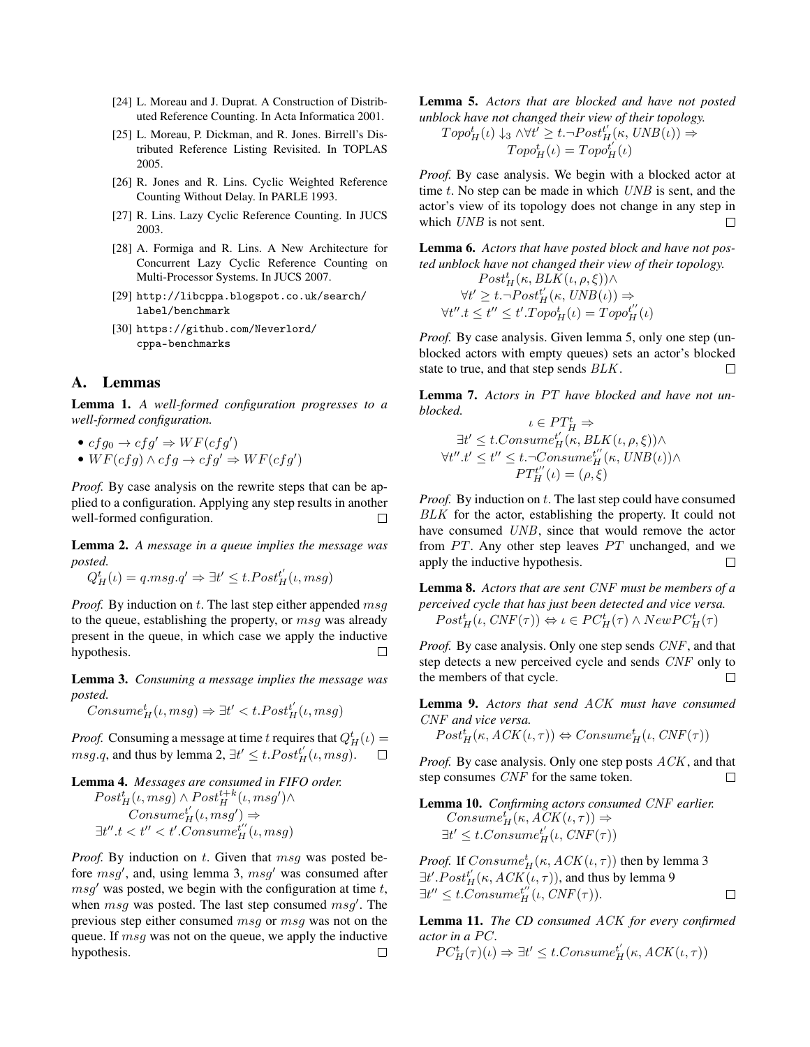- [24] L. Moreau and J. Duprat. A Construction of Distributed Reference Counting. In Acta Informatica 2001.
- [25] L. Moreau, P. Dickman, and R. Jones. Birrell's Distributed Reference Listing Revisited. In TOPLAS 2005.
- [26] R. Jones and R. Lins. Cyclic Weighted Reference Counting Without Delay. In PARLE 1993.
- [27] R. Lins. Lazy Cyclic Reference Counting. In JUCS 2003.
- [28] A. Formiga and R. Lins. A New Architecture for Concurrent Lazy Cyclic Reference Counting on Multi-Processor Systems. In JUCS 2007.
- [29] http://libcppa.blogspot.co.uk/search/ label/benchmark
- [30] https://github.com/Neverlord/ cppa-benchmarks

#### A. Lemmas

Lemma 1. *A well-formed configuration progresses to a well-formed configuration.*

• 
$$
cfg_0 \rightarrow cfg' \Rightarrow WF(cfg')
$$

•  $WF(cfg) \wedge cfg \rightarrow cfg' \Rightarrow WF(cfg')$ 

*Proof.* By case analysis on the rewrite steps that can be applied to a configuration. Applying any step results in another well-formed configuration.  $\Box$ 

Lemma 2. *A message in a queue implies the message was posted.*

$$
Q_H^t(\iota) = q.msg.q' \Rightarrow \exists t' \leq t. Post_H^{t'}(\iota, msg)
$$

*Proof.* By induction on  $t$ . The last step either appended  $msg$ to the queue, establishing the property, or *msq* was already present in the queue, in which case we apply the inductive hypothesis.  $\Box$ 

Lemma 3. *Consuming a message implies the message was posted.*

 $Consum e_H^t(\iota, msg) \Rightarrow \exists t' < t.Post_H^{t'}(\iota, msg)$ 

*Proof.* Consuming a message at time t requires that  $Q_H^t(\iota) =$  $msg.q$ , and thus by lemma 2,  $\exists t' \leq t. Post_H^{t'}(t, msg)$ .  $\Box$ 

Lemma 4. *Messages are consumed in FIFO order.*  $Post^t_H(\iota, msg) \wedge Post^{t+k}_H(\iota, msg') \wedge$  $Consum e^{t'}_{H}(\iota, msg') \Rightarrow$ 

 $\exists t^{\prime\prime}.t < t^{\prime\prime} < t^{\prime}.Consum e^{t^{\prime\prime}}_{H}(\iota, msg)$ 

*Proof.* By induction on t. Given that msg was posted before  $msg'$ , and, using lemma 3,  $msg'$  was consumed after  $msq'$  was posted, we begin with the configuration at time t, when  $msg$  was posted. The last step consumed  $msg'$ . The previous step either consumed msg or msg was not on the queue. If msg was not on the queue, we apply the inductive hypothesis.  $\Box$  Lemma 5. *Actors that are blocked and have not posted unblock have not changed their view of their topology.*

$$
Topo_H^t(\iota) \downarrow_3 \wedge \forall t' \geq t. \neg Post_H^{t'}(\kappa, UNB(\iota)) \Rightarrow
$$

$$
Topo_H^t(\iota) = Topo_H^{t'}(\iota)
$$

*Proof.* By case analysis. We begin with a blocked actor at time  $t$ . No step can be made in which  $UNB$  is sent, and the actor's view of its topology does not change in any step in which *UNB* is not sent.  $\Box$ 

Lemma 6. *Actors that have posted block and have not posted unblock have not changed their view of their topology.*

$$
Post_H^t(\kappa, BL\bar{K}(\iota, \rho, \xi)) \wedge \forall t' \geq t. \neg Post_H^{t'}(\kappa, UNB(\iota)) \Rightarrow \forall t''.t \leq t'' \leq t'.Topo_H^t(\iota) = Topo_H^{t''}(\iota)
$$

*Proof.* By case analysis. Given lemma 5, only one step (unblocked actors with empty queues) sets an actor's blocked state to true, and that step sends BLK.  $\Box$ 

Lemma 7. Actors in PT have blocked and have not un*blocked.*  $\epsilon$  p  $\pi t$ 

$$
\iota \in PT_H^t \Rightarrow
$$
  
\n
$$
\exists t' \le t. Consum e_{H}^{t'}(\kappa, BLK(\iota, \rho, \xi)) \wedge
$$
  
\n
$$
\forall t'' \cdot t' \le t'' \le t. \neg Consum e_{H}^{t''}(\kappa, UNB(\iota)) \wedge
$$
  
\n
$$
PT_H^{t'}(\iota) = (\rho, \xi)
$$

*Proof.* By induction on t. The last step could have consumed BLK for the actor, establishing the property. It could not have consumed UNB, since that would remove the actor from  $PT$ . Any other step leaves  $PT$  unchanged, and we apply the inductive hypothesis.  $\Box$ 

Lemma 8. *Actors that are sent* CNF *must be members of a perceived cycle that has just been detected and vice versa.*  $Post_H^t(\iota, CNF(\tau)) \Leftrightarrow \iota \in PC_H^t(\tau) \wedge NewPC_H^t(\tau)$ 

*Proof.* By case analysis. Only one step sends CNF, and that step detects a new perceived cycle and sends CNF only to the members of that cycle.  $\Box$ 

Lemma 9. *Actors that send* ACK *must have consumed* CNF *and vice versa.*

 $Post^t_H(\kappa, ACK(\iota, \tau)) \Leftrightarrow \text{Cosume}^t_H(\iota, CNF(\tau))$ 

*Proof.* By case analysis. Only one step posts  $ACK$ , and that step consumes CNF for the same token.  $\Box$ 

**Lemma 10.** *Confirming actors consumed CNF earlier.*  
\n
$$
Consume_H^t(\kappa, ACK(\iota, \tau)) \Rightarrow
$$
  
\n $\exists t' \leq t.аsume_H^t(\iota, CNF(\tau))$ 

*Proof.* If  $Consum_{H}^{t}(\kappa, ACK(\iota, \tau))$  then by lemma 3  $\exists t'.Post_H^{t'}(\kappa, ACK(\iota, \tau)),$  and thus by lemma 9  $\exists t'' \leq t.\overline{Consum}e_H^{t''}(t,\overline{CNF}(\tau)).$  $\Box$ 

Lemma 11. *The CD consumed* ACK *for every confirmed actor in a PC.* 

 $PC_H^t(\tau)(\iota) \Rightarrow \exists t' \leq t. Consum e_H^{t'}(\kappa, ACK(\iota, \tau))$